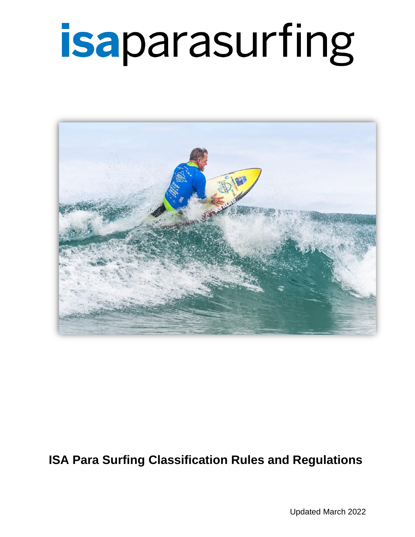

### **ISA Para Surfing Classification Rules and Regulations**

Updated March 2022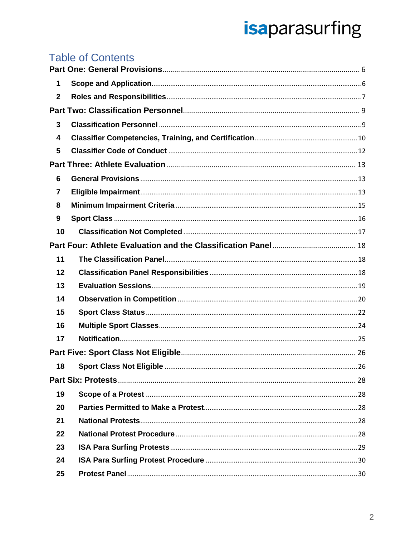### **Table of Contents**

| 1            |                                          |  |  |  |  |
|--------------|------------------------------------------|--|--|--|--|
| $\mathbf{2}$ |                                          |  |  |  |  |
|              |                                          |  |  |  |  |
| 3            |                                          |  |  |  |  |
| 4            |                                          |  |  |  |  |
| 5            |                                          |  |  |  |  |
|              |                                          |  |  |  |  |
| 6            |                                          |  |  |  |  |
| 7            |                                          |  |  |  |  |
| 8            |                                          |  |  |  |  |
| 9            |                                          |  |  |  |  |
| 10           |                                          |  |  |  |  |
|              |                                          |  |  |  |  |
| 11           |                                          |  |  |  |  |
| 12           |                                          |  |  |  |  |
| 13           |                                          |  |  |  |  |
| 14           |                                          |  |  |  |  |
| 15           |                                          |  |  |  |  |
| 16           |                                          |  |  |  |  |
| 17           |                                          |  |  |  |  |
|              |                                          |  |  |  |  |
| 18           | <b>Sport Class Not Eligible </b><br>. 26 |  |  |  |  |
|              |                                          |  |  |  |  |
| 19           |                                          |  |  |  |  |
| 20           |                                          |  |  |  |  |
| 21           |                                          |  |  |  |  |
| 22           |                                          |  |  |  |  |
| 23           |                                          |  |  |  |  |
| 24           |                                          |  |  |  |  |
| 25           |                                          |  |  |  |  |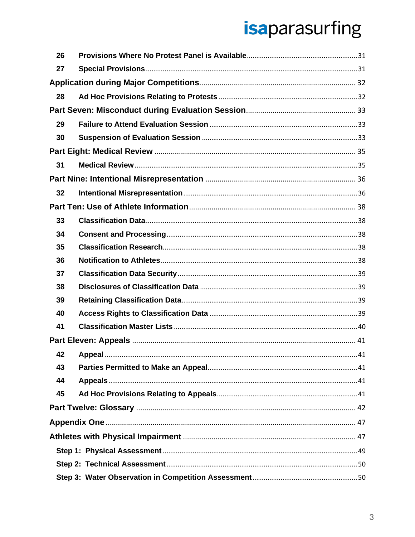| 26 |  |  |
|----|--|--|
| 27 |  |  |
|    |  |  |
| 28 |  |  |
|    |  |  |
| 29 |  |  |
| 30 |  |  |
|    |  |  |
| 31 |  |  |
|    |  |  |
| 32 |  |  |
|    |  |  |
| 33 |  |  |
| 34 |  |  |
| 35 |  |  |
| 36 |  |  |
| 37 |  |  |
| 38 |  |  |
| 39 |  |  |
| 40 |  |  |
| 41 |  |  |
|    |  |  |
| 42 |  |  |
| 43 |  |  |
| 44 |  |  |
| 45 |  |  |
|    |  |  |
|    |  |  |
|    |  |  |
|    |  |  |
|    |  |  |
|    |  |  |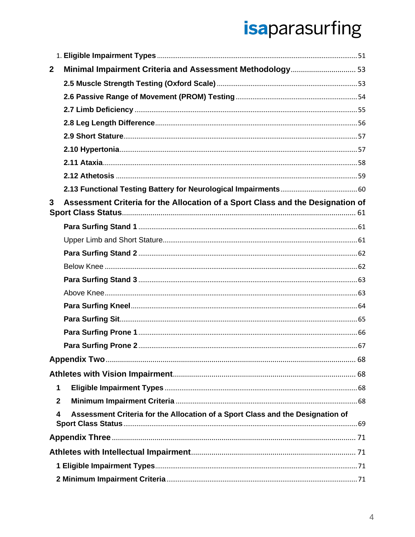| $\mathbf{2}$ | Minimal Impairment Criteria and Assessment Methodology 53                      |  |
|--------------|--------------------------------------------------------------------------------|--|
|              |                                                                                |  |
|              |                                                                                |  |
|              |                                                                                |  |
|              |                                                                                |  |
|              |                                                                                |  |
|              |                                                                                |  |
|              |                                                                                |  |
|              |                                                                                |  |
|              |                                                                                |  |
| $\mathbf{3}$ | Assessment Criteria for the Allocation of a Sport Class and the Designation of |  |
|              |                                                                                |  |
|              |                                                                                |  |
|              |                                                                                |  |
|              |                                                                                |  |
|              |                                                                                |  |
|              |                                                                                |  |
|              |                                                                                |  |
|              |                                                                                |  |
|              |                                                                                |  |
|              |                                                                                |  |
|              |                                                                                |  |
|              |                                                                                |  |
| 1            |                                                                                |  |
| $\mathbf{2}$ |                                                                                |  |
| 4            | Assessment Criteria for the Allocation of a Sport Class and the Designation of |  |
|              |                                                                                |  |
|              |                                                                                |  |
|              |                                                                                |  |
|              |                                                                                |  |
|              |                                                                                |  |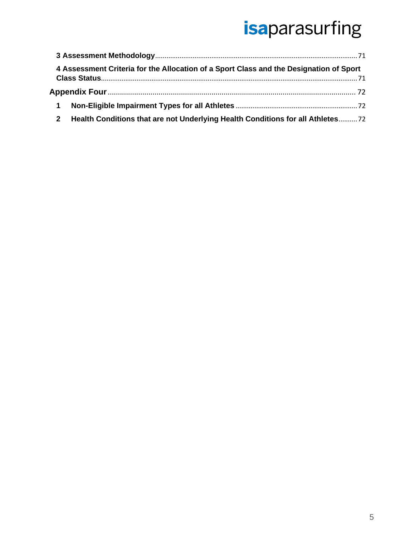|             | 4 Assessment Criteria for the Allocation of a Sport Class and the Designation of Sport |  |
|-------------|----------------------------------------------------------------------------------------|--|
|             |                                                                                        |  |
|             |                                                                                        |  |
| $\mathbf 1$ |                                                                                        |  |
|             | Health Conditions that are not Underlying Health Conditions for all Athletes72         |  |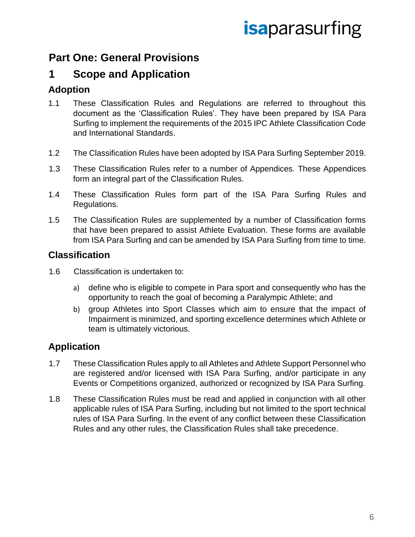### <span id="page-5-0"></span>**Part One: General Provisions**

### <span id="page-5-1"></span>**1 Scope and Application**

#### **Adoption**

- 1.1 These Classification Rules and Regulations are referred to throughout this document as the 'Classification Rules'. They have been prepared by ISA Para Surfing to implement the requirements of the 2015 IPC Athlete Classification Code and International Standards.
- 1.2 The Classification Rules have been adopted by ISA Para Surfing September 2019.
- 1.3 These Classification Rules refer to a number of Appendices. These Appendices form an integral part of the Classification Rules.
- 1.4 These Classification Rules form part of the ISA Para Surfing Rules and Regulations.
- 1.5 The Classification Rules are supplemented by a number of Classification forms that have been prepared to assist Athlete Evaluation. These forms are available from ISA Para Surfing and can be amended by ISA Para Surfing from time to time.

#### **Classification**

- 1.6 Classification is undertaken to:
	- a) define who is eligible to compete in Para sport and consequently who has the opportunity to reach the goal of becoming a Paralympic Athlete; and
	- b) group Athletes into Sport Classes which aim to ensure that the impact of Impairment is minimized, and sporting excellence determines which Athlete or team is ultimately victorious.

#### **Application**

- 1.7 These Classification Rules apply to all Athletes and Athlete Support Personnel who are registered and/or licensed with ISA Para Surfing, and/or participate in any Events or Competitions organized, authorized or recognized by ISA Para Surfing.
- 1.8 These Classification Rules must be read and applied in conjunction with all other applicable rules of ISA Para Surfing, including but not limited to the sport technical rules of ISA Para Surfing. In the event of any conflict between these Classification Rules and any other rules, the Classification Rules shall take precedence.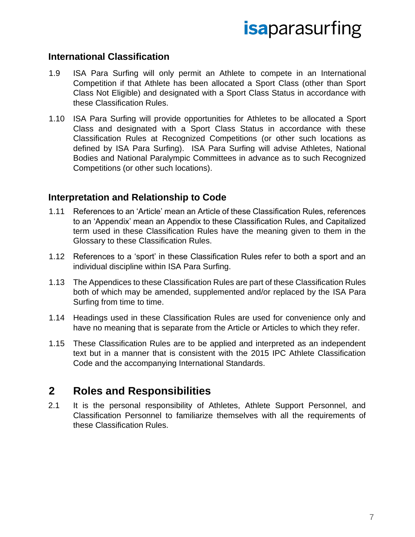#### **International Classification**

- 1.9 ISA Para Surfing will only permit an Athlete to compete in an International Competition if that Athlete has been allocated a Sport Class (other than Sport Class Not Eligible) and designated with a Sport Class Status in accordance with these Classification Rules.
- 1.10 ISA Para Surfing will provide opportunities for Athletes to be allocated a Sport Class and designated with a Sport Class Status in accordance with these Classification Rules at Recognized Competitions (or other such locations as defined by ISA Para Surfing). ISA Para Surfing will advise Athletes, National Bodies and National Paralympic Committees in advance as to such Recognized Competitions (or other such locations).

#### **Interpretation and Relationship to Code**

- 1.11 References to an 'Article' mean an Article of these Classification Rules, references to an 'Appendix' mean an Appendix to these Classification Rules, and Capitalized term used in these Classification Rules have the meaning given to them in the Glossary to these Classification Rules.
- 1.12 References to a 'sport' in these Classification Rules refer to both a sport and an individual discipline within ISA Para Surfing.
- 1.13 The Appendices to these Classification Rules are part of these Classification Rules both of which may be amended, supplemented and/or replaced by the ISA Para Surfing from time to time.
- 1.14 Headings used in these Classification Rules are used for convenience only and have no meaning that is separate from the Article or Articles to which they refer.
- 1.15 These Classification Rules are to be applied and interpreted as an independent text but in a manner that is consistent with the 2015 IPC Athlete Classification Code and the accompanying International Standards.

#### <span id="page-6-0"></span>**2 Roles and Responsibilities**

2.1 It is the personal responsibility of Athletes, Athlete Support Personnel, and Classification Personnel to familiarize themselves with all the requirements of these Classification Rules.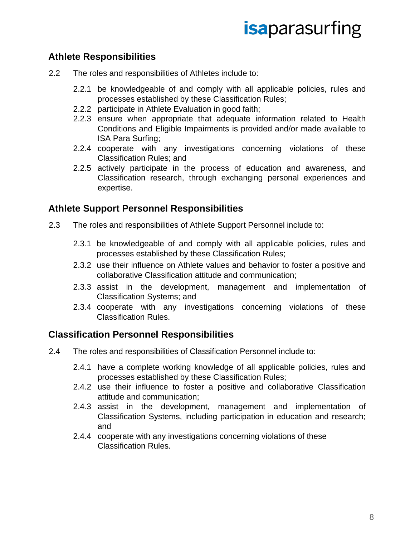#### **Athlete Responsibilities**

- 2.2 The roles and responsibilities of Athletes include to:
	- 2.2.1 be knowledgeable of and comply with all applicable policies, rules and processes established by these Classification Rules;
	- 2.2.2 participate in Athlete Evaluation in good faith;
	- 2.2.3 ensure when appropriate that adequate information related to Health Conditions and Eligible Impairments is provided and/or made available to ISA Para Surfing;
	- 2.2.4 cooperate with any investigations concerning violations of these Classification Rules; and
	- 2.2.5 actively participate in the process of education and awareness, and Classification research, through exchanging personal experiences and expertise.

#### **Athlete Support Personnel Responsibilities**

- 2.3 The roles and responsibilities of Athlete Support Personnel include to:
	- 2.3.1 be knowledgeable of and comply with all applicable policies, rules and processes established by these Classification Rules;
	- 2.3.2 use their influence on Athlete values and behavior to foster a positive and collaborative Classification attitude and communication;
	- 2.3.3 assist in the development, management and implementation of Classification Systems; and
	- 2.3.4 cooperate with any investigations concerning violations of these Classification Rules.

#### **Classification Personnel Responsibilities**

- 2.4 The roles and responsibilities of Classification Personnel include to:
	- 2.4.1 have a complete working knowledge of all applicable policies, rules and processes established by these Classification Rules;
	- 2.4.2 use their influence to foster a positive and collaborative Classification attitude and communication;
	- 2.4.3 assist in the development, management and implementation of Classification Systems, including participation in education and research; and
	- 2.4.4 cooperate with any investigations concerning violations of these Classification Rules.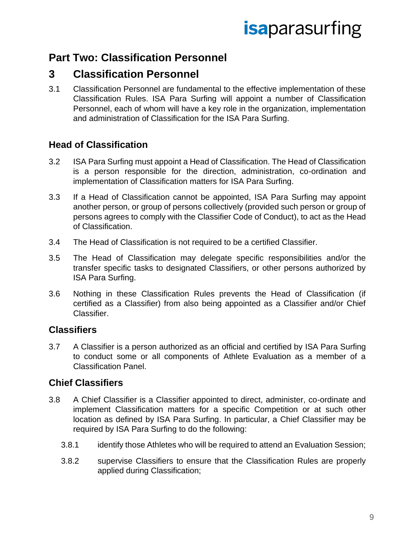### <span id="page-8-0"></span>**Part Two: Classification Personnel**

### <span id="page-8-1"></span>**3 Classification Personnel**

3.1 Classification Personnel are fundamental to the effective implementation of these Classification Rules. ISA Para Surfing will appoint a number of Classification Personnel, each of whom will have a key role in the organization, implementation and administration of Classification for the ISA Para Surfing.

#### **Head of Classification**

- 3.2 ISA Para Surfing must appoint a Head of Classification. The Head of Classification is a person responsible for the direction, administration, co-ordination and implementation of Classification matters for ISA Para Surfing.
- 3.3 If a Head of Classification cannot be appointed, ISA Para Surfing may appoint another person, or group of persons collectively (provided such person or group of persons agrees to comply with the Classifier Code of Conduct), to act as the Head of Classification.
- 3.4 The Head of Classification is not required to be a certified Classifier.
- 3.5 The Head of Classification may delegate specific responsibilities and/or the transfer specific tasks to designated Classifiers, or other persons authorized by ISA Para Surfing.
- 3.6 Nothing in these Classification Rules prevents the Head of Classification (if certified as a Classifier) from also being appointed as a Classifier and/or Chief Classifier.

#### **Classifiers**

3.7 A Classifier is a person authorized as an official and certified by ISA Para Surfing to conduct some or all components of Athlete Evaluation as a member of a Classification Panel.

#### **Chief Classifiers**

- 3.8 A Chief Classifier is a Classifier appointed to direct, administer, co-ordinate and implement Classification matters for a specific Competition or at such other location as defined by ISA Para Surfing. In particular, a Chief Classifier may be required by ISA Para Surfing to do the following:
	- 3.8.1 identify those Athletes who will be required to attend an Evaluation Session;
	- 3.8.2 supervise Classifiers to ensure that the Classification Rules are properly applied during Classification;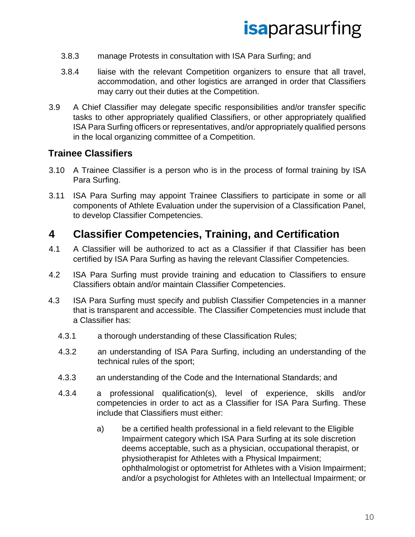- 3.8.3 manage Protests in consultation with ISA Para Surfing; and
- 3.8.4 liaise with the relevant Competition organizers to ensure that all travel, accommodation, and other logistics are arranged in order that Classifiers may carry out their duties at the Competition.
- 3.9 A Chief Classifier may delegate specific responsibilities and/or transfer specific tasks to other appropriately qualified Classifiers, or other appropriately qualified ISA Para Surfing officers or representatives, and/or appropriately qualified persons in the local organizing committee of a Competition.

#### **Trainee Classifiers**

- 3.10 A Trainee Classifier is a person who is in the process of formal training by ISA Para Surfing.
- 3.11 ISA Para Surfing may appoint Trainee Classifiers to participate in some or all components of Athlete Evaluation under the supervision of a Classification Panel, to develop Classifier Competencies.

### <span id="page-9-0"></span>**4 Classifier Competencies, Training, and Certification**

- 4.1 A Classifier will be authorized to act as a Classifier if that Classifier has been certified by ISA Para Surfing as having the relevant Classifier Competencies.
- 4.2 ISA Para Surfing must provide training and education to Classifiers to ensure Classifiers obtain and/or maintain Classifier Competencies.
- 4.3 ISA Para Surfing must specify and publish Classifier Competencies in a manner that is transparent and accessible. The Classifier Competencies must include that a Classifier has:
	- 4.3.1 a thorough understanding of these Classification Rules;
	- 4.3.2 an understanding of ISA Para Surfing, including an understanding of the technical rules of the sport;
	- 4.3.3 an understanding of the Code and the International Standards; and
	- 4.3.4 a professional qualification(s), level of experience, skills and/or competencies in order to act as a Classifier for ISA Para Surfing. These include that Classifiers must either:
		- a) be a certified health professional in a field relevant to the Eligible Impairment category which ISA Para Surfing at its sole discretion deems acceptable, such as a physician, occupational therapist, or physiotherapist for Athletes with a Physical Impairment; ophthalmologist or optometrist for Athletes with a Vision Impairment; and/or a psychologist for Athletes with an Intellectual Impairment; or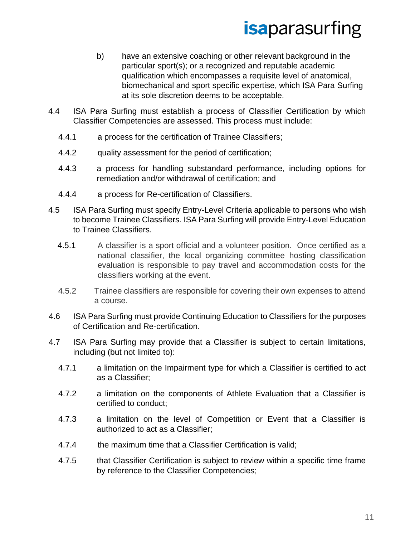- b) have an extensive coaching or other relevant background in the particular sport(s); or a recognized and reputable academic qualification which encompasses a requisite level of anatomical, biomechanical and sport specific expertise, which ISA Para Surfing at its sole discretion deems to be acceptable.
- 4.4 ISA Para Surfing must establish a process of Classifier Certification by which Classifier Competencies are assessed. This process must include:
	- 4.4.1 a process for the certification of Trainee Classifiers;
	- 4.4.2 quality assessment for the period of certification;
	- 4.4.3 a process for handling substandard performance, including options for remediation and/or withdrawal of certification; and
	- 4.4.4 a process for Re-certification of Classifiers.
- 4.5 ISA Para Surfing must specify Entry-Level Criteria applicable to persons who wish to become Trainee Classifiers. ISA Para Surfing will provide Entry-Level Education to Trainee Classifiers.
	- 4.5.1 A classifier is a sport official and a volunteer position. Once certified as a national classifier, the local organizing committee hosting classification evaluation is responsible to pay travel and accommodation costs for the classifiers working at the event.
	- 4.5.2 Trainee classifiers are responsible for covering their own expenses to attend a course.
- 4.6 ISA Para Surfing must provide Continuing Education to Classifiers for the purposes of Certification and Re-certification.
- 4.7 ISA Para Surfing may provide that a Classifier is subject to certain limitations, including (but not limited to):
	- 4.7.1 a limitation on the Impairment type for which a Classifier is certified to act as a Classifier;
	- 4.7.2 a limitation on the components of Athlete Evaluation that a Classifier is certified to conduct;
	- 4.7.3 a limitation on the level of Competition or Event that a Classifier is authorized to act as a Classifier;
	- 4.7.4 the maximum time that a Classifier Certification is valid;
	- 4.7.5 that Classifier Certification is subject to review within a specific time frame by reference to the Classifier Competencies;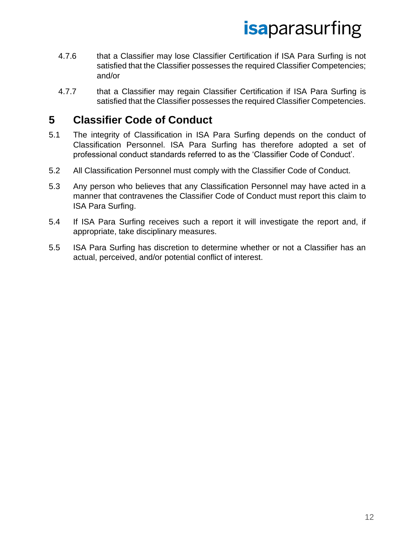- 4.7.6 that a Classifier may lose Classifier Certification if ISA Para Surfing is not satisfied that the Classifier possesses the required Classifier Competencies; and/or
- 4.7.7 that a Classifier may regain Classifier Certification if ISA Para Surfing is satisfied that the Classifier possesses the required Classifier Competencies.

### <span id="page-11-0"></span>**5 Classifier Code of Conduct**

- 5.1 The integrity of Classification in ISA Para Surfing depends on the conduct of Classification Personnel. ISA Para Surfing has therefore adopted a set of professional conduct standards referred to as the 'Classifier Code of Conduct'.
- 5.2 All Classification Personnel must comply with the Classifier Code of Conduct.
- 5.3 Any person who believes that any Classification Personnel may have acted in a manner that contravenes the Classifier Code of Conduct must report this claim to ISA Para Surfing.
- 5.4 If ISA Para Surfing receives such a report it will investigate the report and, if appropriate, take disciplinary measures.
- 5.5 ISA Para Surfing has discretion to determine whether or not a Classifier has an actual, perceived, and/or potential conflict of interest.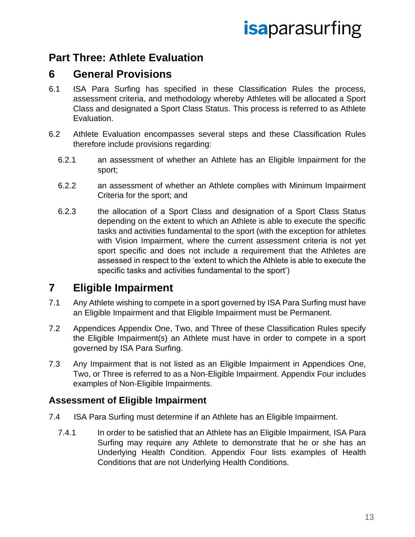### <span id="page-12-0"></span>**Part Three: Athlete Evaluation**

#### <span id="page-12-1"></span>**6 General Provisions**

- 6.1 ISA Para Surfing has specified in these Classification Rules the process, assessment criteria, and methodology whereby Athletes will be allocated a Sport Class and designated a Sport Class Status. This process is referred to as Athlete Evaluation.
- 6.2 Athlete Evaluation encompasses several steps and these Classification Rules therefore include provisions regarding:
	- 6.2.1 an assessment of whether an Athlete has an Eligible Impairment for the sport;
	- 6.2.2 an assessment of whether an Athlete complies with Minimum Impairment Criteria for the sport; and
	- 6.2.3 the allocation of a Sport Class and designation of a Sport Class Status depending on the extent to which an Athlete is able to execute the specific tasks and activities fundamental to the sport (with the exception for athletes with Vision Impairment, where the current assessment criteria is not yet sport specific and does not include a requirement that the Athletes are assessed in respect to the 'extent to which the Athlete is able to execute the specific tasks and activities fundamental to the sport')

### <span id="page-12-2"></span>**7 Eligible Impairment**

- 7.1 Any Athlete wishing to compete in a sport governed by ISA Para Surfing must have an Eligible Impairment and that Eligible Impairment must be Permanent.
- 7.2 Appendices Appendix One, Two, and Three of these Classification Rules specify the Eligible Impairment(s) an Athlete must have in order to compete in a sport governed by ISA Para Surfing.
- 7.3 Any Impairment that is not listed as an Eligible Impairment in Appendices One, Two, or Three is referred to as a Non-Eligible Impairment. Appendix Four includes examples of Non-Eligible Impairments.

#### **Assessment of Eligible Impairment**

- 7.4 ISA Para Surfing must determine if an Athlete has an Eligible Impairment.
	- 7.4.1 In order to be satisfied that an Athlete has an Eligible Impairment, ISA Para Surfing may require any Athlete to demonstrate that he or she has an Underlying Health Condition. Appendix Four lists examples of Health Conditions that are not Underlying Health Conditions.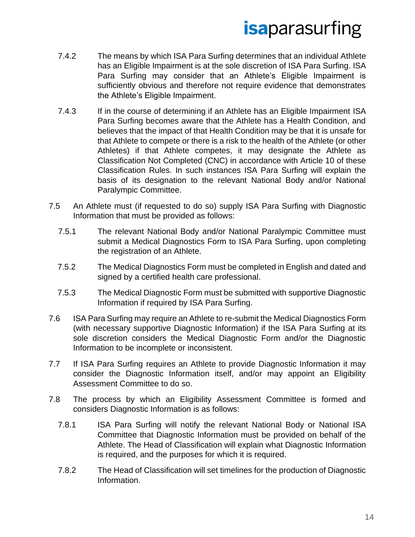- 7.4.2 The means by which ISA Para Surfing determines that an individual Athlete has an Eligible Impairment is at the sole discretion of ISA Para Surfing. ISA Para Surfing may consider that an Athlete's Eligible Impairment is sufficiently obvious and therefore not require evidence that demonstrates the Athlete's Eligible Impairment.
- 7.4.3 If in the course of determining if an Athlete has an Eligible Impairment ISA Para Surfing becomes aware that the Athlete has a Health Condition, and believes that the impact of that Health Condition may be that it is unsafe for that Athlete to compete or there is a risk to the health of the Athlete (or other Athletes) if that Athlete competes, it may designate the Athlete as Classification Not Completed (CNC) in accordance with Article 10 of these Classification Rules. In such instances ISA Para Surfing will explain the basis of its designation to the relevant National Body and/or National Paralympic Committee.
- 7.5 An Athlete must (if requested to do so) supply ISA Para Surfing with Diagnostic Information that must be provided as follows:
	- 7.5.1 The relevant National Body and/or National Paralympic Committee must submit a Medical Diagnostics Form to ISA Para Surfing, upon completing the registration of an Athlete.
	- 7.5.2 The Medical Diagnostics Form must be completed in English and dated and signed by a certified health care professional.
	- 7.5.3 The Medical Diagnostic Form must be submitted with supportive Diagnostic Information if required by ISA Para Surfing.
- 7.6 ISA Para Surfing may require an Athlete to re-submit the Medical Diagnostics Form (with necessary supportive Diagnostic Information) if the ISA Para Surfing at its sole discretion considers the Medical Diagnostic Form and/or the Diagnostic Information to be incomplete or inconsistent.
- 7.7 If ISA Para Surfing requires an Athlete to provide Diagnostic Information it may consider the Diagnostic Information itself, and/or may appoint an Eligibility Assessment Committee to do so.
- 7.8 The process by which an Eligibility Assessment Committee is formed and considers Diagnostic Information is as follows:
	- 7.8.1 ISA Para Surfing will notify the relevant National Body or National ISA Committee that Diagnostic Information must be provided on behalf of the Athlete. The Head of Classification will explain what Diagnostic Information is required, and the purposes for which it is required.
	- 7.8.2 The Head of Classification will set timelines for the production of Diagnostic Information.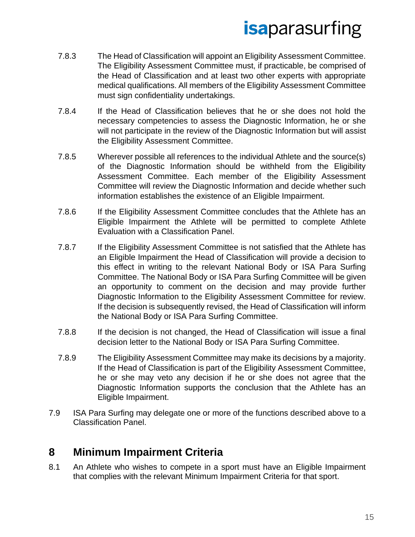- 7.8.3 The Head of Classification will appoint an Eligibility Assessment Committee. The Eligibility Assessment Committee must, if practicable, be comprised of the Head of Classification and at least two other experts with appropriate medical qualifications. All members of the Eligibility Assessment Committee must sign confidentiality undertakings.
- 7.8.4 If the Head of Classification believes that he or she does not hold the necessary competencies to assess the Diagnostic Information, he or she will not participate in the review of the Diagnostic Information but will assist the Eligibility Assessment Committee.
- 7.8.5 Wherever possible all references to the individual Athlete and the source(s) of the Diagnostic Information should be withheld from the Eligibility Assessment Committee. Each member of the Eligibility Assessment Committee will review the Diagnostic Information and decide whether such information establishes the existence of an Eligible Impairment.
- 7.8.6 If the Eligibility Assessment Committee concludes that the Athlete has an Eligible Impairment the Athlete will be permitted to complete Athlete Evaluation with a Classification Panel.
- 7.8.7 If the Eligibility Assessment Committee is not satisfied that the Athlete has an Eligible Impairment the Head of Classification will provide a decision to this effect in writing to the relevant National Body or ISA Para Surfing Committee. The National Body or ISA Para Surfing Committee will be given an opportunity to comment on the decision and may provide further Diagnostic Information to the Eligibility Assessment Committee for review. If the decision is subsequently revised, the Head of Classification will inform the National Body or ISA Para Surfing Committee.
- 7.8.8 If the decision is not changed, the Head of Classification will issue a final decision letter to the National Body or ISA Para Surfing Committee.
- 7.8.9 The Eligibility Assessment Committee may make its decisions by a majority. If the Head of Classification is part of the Eligibility Assessment Committee, he or she may veto any decision if he or she does not agree that the Diagnostic Information supports the conclusion that the Athlete has an Eligible Impairment.
- 7.9 ISA Para Surfing may delegate one or more of the functions described above to a Classification Panel.

### <span id="page-14-0"></span>**8 Minimum Impairment Criteria**

8.1 An Athlete who wishes to compete in a sport must have an Eligible Impairment that complies with the relevant Minimum Impairment Criteria for that sport.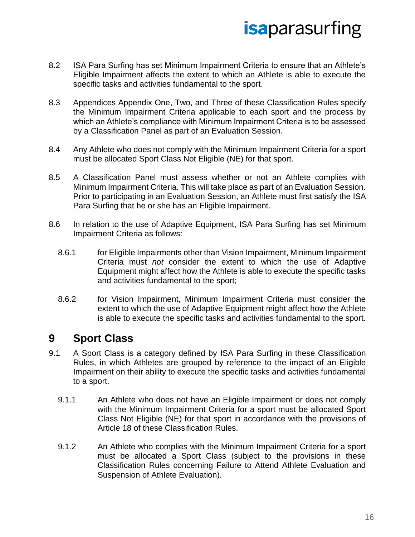- 8.2 ISA Para Surfing has set Minimum Impairment Criteria to ensure that an Athlete's Eligible Impairment affects the extent to which an Athlete is able to execute the specific tasks and activities fundamental to the sport.
- 8.3 Appendices Appendix One, Two, and Three of these Classification Rules specify the Minimum Impairment Criteria applicable to each sport and the process by which an Athlete's compliance with Minimum Impairment Criteria is to be assessed by a Classification Panel as part of an Evaluation Session.
- 8.4 Any Athlete who does not comply with the Minimum Impairment Criteria for a sport must be allocated Sport Class Not Eligible (NE) for that sport.
- 8.5 A Classification Panel must assess whether or not an Athlete complies with Minimum Impairment Criteria. This will take place as part of an Evaluation Session. Prior to participating in an Evaluation Session, an Athlete must first satisfy the ISA Para Surfing that he or she has an Eligible Impairment.
- 8.6 In relation to the use of Adaptive Equipment, ISA Para Surfing has set Minimum Impairment Criteria as follows:
	- 8.6.1 for Eligible Impairments other than Vision Impairment, Minimum Impairment Criteria must *not* consider the extent to which the use of Adaptive Equipment might affect how the Athlete is able to execute the specific tasks and activities fundamental to the sport;
	- 8.6.2 for Vision Impairment, Minimum Impairment Criteria must consider the extent to which the use of Adaptive Equipment might affect how the Athlete is able to execute the specific tasks and activities fundamental to the sport.

### <span id="page-15-0"></span>**9 Sport Class**

- 9.1 A Sport Class is a category defined by ISA Para Surfing in these Classification Rules, in which Athletes are grouped by reference to the impact of an Eligible Impairment on their ability to execute the specific tasks and activities fundamental to a sport.
	- 9.1.1 An Athlete who does not have an Eligible Impairment or does not comply with the Minimum Impairment Criteria for a sport must be allocated Sport Class Not Eligible (NE) for that sport in accordance with the provisions of Article 18 of these Classification Rules.
	- 9.1.2 An Athlete who complies with the Minimum Impairment Criteria for a sport must be allocated a Sport Class (subject to the provisions in these Classification Rules concerning Failure to Attend Athlete Evaluation and Suspension of Athlete Evaluation).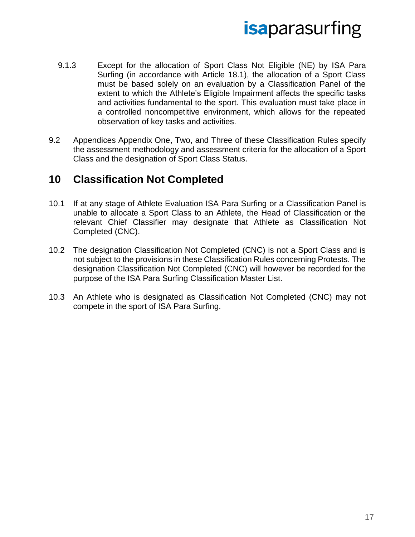- 9.1.3 Except for the allocation of Sport Class Not Eligible (NE) by ISA Para Surfing (in accordance with Article 18.1), the allocation of a Sport Class must be based solely on an evaluation by a Classification Panel of the extent to which the Athlete's Eligible Impairment affects the specific tasks and activities fundamental to the sport. This evaluation must take place in a controlled noncompetitive environment, which allows for the repeated observation of key tasks and activities.
- 9.2 Appendices Appendix One, Two, and Three of these Classification Rules specify the assessment methodology and assessment criteria for the allocation of a Sport Class and the designation of Sport Class Status.

### <span id="page-16-0"></span>**10 Classification Not Completed**

- 10.1 If at any stage of Athlete Evaluation ISA Para Surfing or a Classification Panel is unable to allocate a Sport Class to an Athlete, the Head of Classification or the relevant Chief Classifier may designate that Athlete as Classification Not Completed (CNC).
- 10.2 The designation Classification Not Completed (CNC) is not a Sport Class and is not subject to the provisions in these Classification Rules concerning Protests. The designation Classification Not Completed (CNC) will however be recorded for the purpose of the ISA Para Surfing Classification Master List.
- 10.3 An Athlete who is designated as Classification Not Completed (CNC) may not compete in the sport of ISA Para Surfing.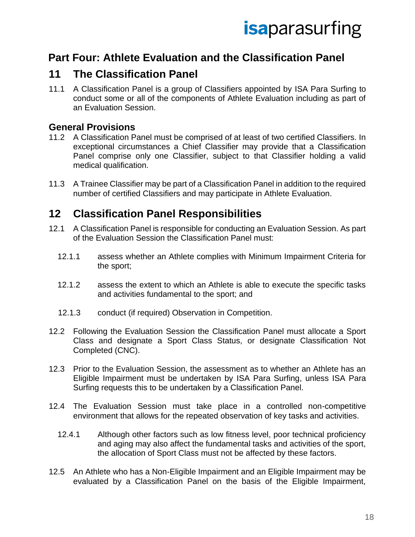### <span id="page-17-0"></span>**Part Four: Athlete Evaluation and the Classification Panel**

### <span id="page-17-1"></span>**11 The Classification Panel**

11.1 A Classification Panel is a group of Classifiers appointed by ISA Para Surfing to conduct some or all of the components of Athlete Evaluation including as part of an Evaluation Session.

#### **General Provisions**

- 11.2 A Classification Panel must be comprised of at least of two certified Classifiers. In exceptional circumstances a Chief Classifier may provide that a Classification Panel comprise only one Classifier, subject to that Classifier holding a valid medical qualification.
- 11.3 A Trainee Classifier may be part of a Classification Panel in addition to the required number of certified Classifiers and may participate in Athlete Evaluation.

#### <span id="page-17-2"></span>**12 Classification Panel Responsibilities**

- 12.1 A Classification Panel is responsible for conducting an Evaluation Session. As part of the Evaluation Session the Classification Panel must:
	- 12.1.1 assess whether an Athlete complies with Minimum Impairment Criteria for the sport;
	- 12.1.2 assess the extent to which an Athlete is able to execute the specific tasks and activities fundamental to the sport; and
	- 12.1.3 conduct (if required) Observation in Competition.
- 12.2 Following the Evaluation Session the Classification Panel must allocate a Sport Class and designate a Sport Class Status, or designate Classification Not Completed (CNC).
- 12.3 Prior to the Evaluation Session, the assessment as to whether an Athlete has an Eligible Impairment must be undertaken by ISA Para Surfing, unless ISA Para Surfing requests this to be undertaken by a Classification Panel.
- 12.4 The Evaluation Session must take place in a controlled non-competitive environment that allows for the repeated observation of key tasks and activities.
	- 12.4.1 Although other factors such as low fitness level, poor technical proficiency and aging may also affect the fundamental tasks and activities of the sport, the allocation of Sport Class must not be affected by these factors.
- 12.5 An Athlete who has a Non-Eligible Impairment and an Eligible Impairment may be evaluated by a Classification Panel on the basis of the Eligible Impairment,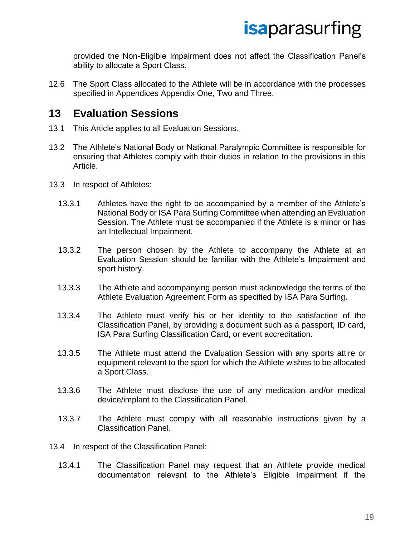provided the Non-Eligible Impairment does not affect the Classification Panel's ability to allocate a Sport Class.

12.6 The Sport Class allocated to the Athlete will be in accordance with the processes specified in Appendices Appendix One, Two and Three.

#### <span id="page-18-0"></span>**13 Evaluation Sessions**

- 13.1 This Article applies to all Evaluation Sessions.
- 13.2 The Athlete's National Body or National Paralympic Committee is responsible for ensuring that Athletes comply with their duties in relation to the provisions in this Article.
- 13.3 In respect of Athletes:
	- 13.3.1 Athletes have the right to be accompanied by a member of the Athlete's National Body or ISA Para Surfing Committee when attending an Evaluation Session. The Athlete must be accompanied if the Athlete is a minor or has an Intellectual Impairment.
	- 13.3.2 The person chosen by the Athlete to accompany the Athlete at an Evaluation Session should be familiar with the Athlete's Impairment and sport history.
	- 13.3.3 The Athlete and accompanying person must acknowledge the terms of the Athlete Evaluation Agreement Form as specified by ISA Para Surfing.
	- 13.3.4 The Athlete must verify his or her identity to the satisfaction of the Classification Panel, by providing a document such as a passport, ID card, ISA Para Surfing Classification Card, or event accreditation.
	- 13.3.5 The Athlete must attend the Evaluation Session with any sports attire or equipment relevant to the sport for which the Athlete wishes to be allocated a Sport Class.
	- 13.3.6 The Athlete must disclose the use of any medication and/or medical device/implant to the Classification Panel.
	- 13.3.7 The Athlete must comply with all reasonable instructions given by a Classification Panel.
- 13.4 In respect of the Classification Panel:
	- 13.4.1 The Classification Panel may request that an Athlete provide medical documentation relevant to the Athlete's Eligible Impairment if the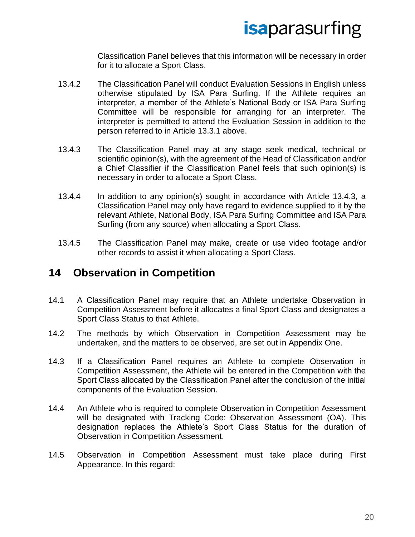Classification Panel believes that this information will be necessary in order for it to allocate a Sport Class.

- 13.4.2 The Classification Panel will conduct Evaluation Sessions in English unless otherwise stipulated by ISA Para Surfing. If the Athlete requires an interpreter, a member of the Athlete's National Body or ISA Para Surfing Committee will be responsible for arranging for an interpreter. The interpreter is permitted to attend the Evaluation Session in addition to the person referred to in Article 13.3.1 above.
- 13.4.3 The Classification Panel may at any stage seek medical, technical or scientific opinion(s), with the agreement of the Head of Classification and/or a Chief Classifier if the Classification Panel feels that such opinion(s) is necessary in order to allocate a Sport Class.
- 13.4.4 In addition to any opinion(s) sought in accordance with Article 13.4.3, a Classification Panel may only have regard to evidence supplied to it by the relevant Athlete, National Body, ISA Para Surfing Committee and ISA Para Surfing (from any source) when allocating a Sport Class.
- 13.4.5 The Classification Panel may make, create or use video footage and/or other records to assist it when allocating a Sport Class.

#### <span id="page-19-0"></span>**14 Observation in Competition**

- 14.1 A Classification Panel may require that an Athlete undertake Observation in Competition Assessment before it allocates a final Sport Class and designates a Sport Class Status to that Athlete.
- 14.2 The methods by which Observation in Competition Assessment may be undertaken, and the matters to be observed, are set out in Appendix One.
- 14.3 If a Classification Panel requires an Athlete to complete Observation in Competition Assessment, the Athlete will be entered in the Competition with the Sport Class allocated by the Classification Panel after the conclusion of the initial components of the Evaluation Session.
- 14.4 An Athlete who is required to complete Observation in Competition Assessment will be designated with Tracking Code: Observation Assessment (OA). This designation replaces the Athlete's Sport Class Status for the duration of Observation in Competition Assessment.
- 14.5 Observation in Competition Assessment must take place during First Appearance. In this regard: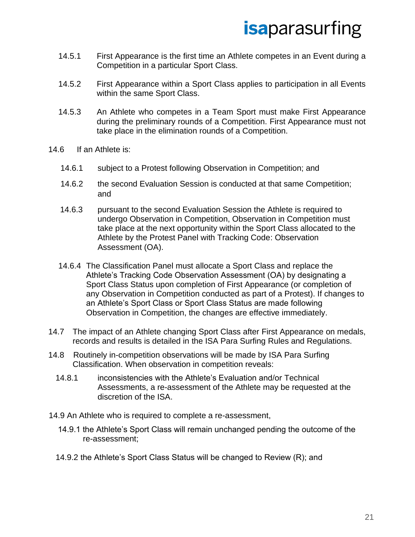- 14.5.1 First Appearance is the first time an Athlete competes in an Event during a Competition in a particular Sport Class.
- 14.5.2 First Appearance within a Sport Class applies to participation in all Events within the same Sport Class.
- 14.5.3 An Athlete who competes in a Team Sport must make First Appearance during the preliminary rounds of a Competition. First Appearance must not take place in the elimination rounds of a Competition.
- 14.6 If an Athlete is:
	- 14.6.1 subject to a Protest following Observation in Competition; and
	- 14.6.2 the second Evaluation Session is conducted at that same Competition; and
	- 14.6.3 pursuant to the second Evaluation Session the Athlete is required to undergo Observation in Competition, Observation in Competition must take place at the next opportunity within the Sport Class allocated to the Athlete by the Protest Panel with Tracking Code: Observation Assessment (OA).
	- 14.6.4 The Classification Panel must allocate a Sport Class and replace the Athlete's Tracking Code Observation Assessment (OA) by designating a Sport Class Status upon completion of First Appearance (or completion of any Observation in Competition conducted as part of a Protest). If changes to an Athlete's Sport Class or Sport Class Status are made following Observation in Competition, the changes are effective immediately.
- 14.7 The impact of an Athlete changing Sport Class after First Appearance on medals, records and results is detailed in the ISA Para Surfing Rules and Regulations.
- 14.8 Routinely in-competition observations will be made by ISA Para Surfing Classification. When observation in competition reveals:
	- 14.8.1 inconsistencies with the Athlete's Evaluation and/or Technical Assessments, a re-assessment of the Athlete may be requested at the discretion of the ISA.
- 14.9 An Athlete who is required to complete a re-assessment,
	- 14.9.1 the Athlete's Sport Class will remain unchanged pending the outcome of the re-assessment;
	- 14.9.2 the Athlete's Sport Class Status will be changed to Review (R); and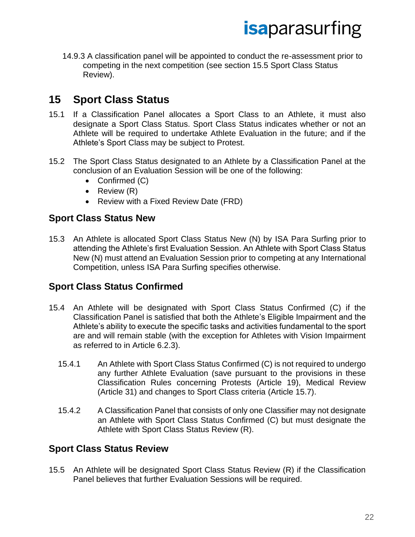14.9.3 A classification panel will be appointed to conduct the re-assessment prior to competing in the next competition (see section 15.5 Sport Class Status Review).

### <span id="page-21-0"></span>**15 Sport Class Status**

- 15.1 If a Classification Panel allocates a Sport Class to an Athlete, it must also designate a Sport Class Status. Sport Class Status indicates whether or not an Athlete will be required to undertake Athlete Evaluation in the future; and if the Athlete's Sport Class may be subject to Protest.
- 15.2 The Sport Class Status designated to an Athlete by a Classification Panel at the conclusion of an Evaluation Session will be one of the following:
	- Confirmed (C)
	- Review (R)
	- Review with a Fixed Review Date (FRD)

#### **Sport Class Status New**

15.3 An Athlete is allocated Sport Class Status New (N) by ISA Para Surfing prior to attending the Athlete's first Evaluation Session. An Athlete with Sport Class Status New (N) must attend an Evaluation Session prior to competing at any International Competition, unless ISA Para Surfing specifies otherwise.

#### **Sport Class Status Confirmed**

- 15.4 An Athlete will be designated with Sport Class Status Confirmed (C) if the Classification Panel is satisfied that both the Athlete's Eligible Impairment and the Athlete's ability to execute the specific tasks and activities fundamental to the sport are and will remain stable (with the exception for Athletes with Vision Impairment as referred to in Article 6.2.3).
	- 15.4.1 An Athlete with Sport Class Status Confirmed (C) is not required to undergo any further Athlete Evaluation (save pursuant to the provisions in these Classification Rules concerning Protests (Article 19), Medical Review (Article 31) and changes to Sport Class criteria (Article 15.7).
	- 15.4.2 A Classification Panel that consists of only one Classifier may not designate an Athlete with Sport Class Status Confirmed (C) but must designate the Athlete with Sport Class Status Review (R).

#### **Sport Class Status Review**

15.5 An Athlete will be designated Sport Class Status Review (R) if the Classification Panel believes that further Evaluation Sessions will be required.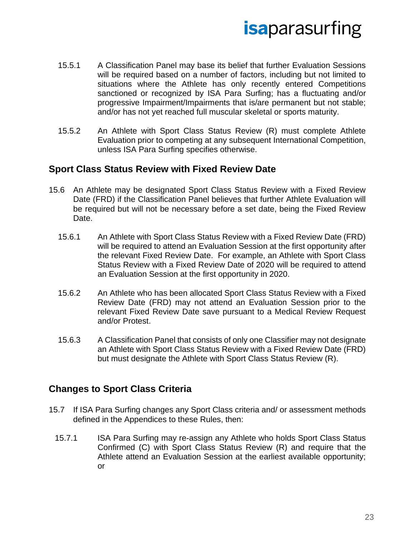- 15.5.1 A Classification Panel may base its belief that further Evaluation Sessions will be required based on a number of factors, including but not limited to situations where the Athlete has only recently entered Competitions sanctioned or recognized by ISA Para Surfing; has a fluctuating and/or progressive Impairment/Impairments that is/are permanent but not stable; and/or has not yet reached full muscular skeletal or sports maturity.
- 15.5.2 An Athlete with Sport Class Status Review (R) must complete Athlete Evaluation prior to competing at any subsequent International Competition, unless ISA Para Surfing specifies otherwise.

#### **Sport Class Status Review with Fixed Review Date**

- 15.6 An Athlete may be designated Sport Class Status Review with a Fixed Review Date (FRD) if the Classification Panel believes that further Athlete Evaluation will be required but will not be necessary before a set date, being the Fixed Review Date.
	- 15.6.1 An Athlete with Sport Class Status Review with a Fixed Review Date (FRD) will be required to attend an Evaluation Session at the first opportunity after the relevant Fixed Review Date. For example, an Athlete with Sport Class Status Review with a Fixed Review Date of 2020 will be required to attend an Evaluation Session at the first opportunity in 2020.
	- 15.6.2 An Athlete who has been allocated Sport Class Status Review with a Fixed Review Date (FRD) may not attend an Evaluation Session prior to the relevant Fixed Review Date save pursuant to a Medical Review Request and/or Protest.
	- 15.6.3 A Classification Panel that consists of only one Classifier may not designate an Athlete with Sport Class Status Review with a Fixed Review Date (FRD) but must designate the Athlete with Sport Class Status Review (R).

#### **Changes to Sport Class Criteria**

- 15.7 If ISA Para Surfing changes any Sport Class criteria and/ or assessment methods defined in the Appendices to these Rules, then:
	- 15.7.1 ISA Para Surfing may re-assign any Athlete who holds Sport Class Status Confirmed (C) with Sport Class Status Review (R) and require that the Athlete attend an Evaluation Session at the earliest available opportunity; or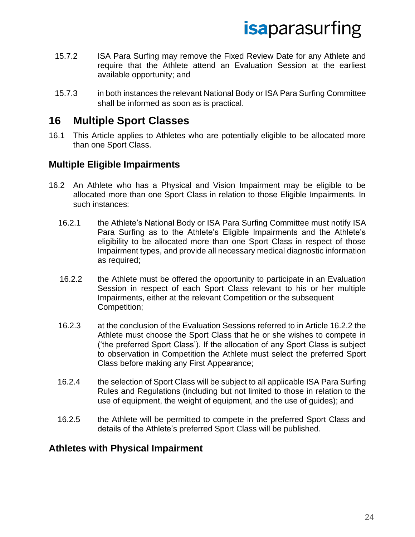- 15.7.2 ISA Para Surfing may remove the Fixed Review Date for any Athlete and require that the Athlete attend an Evaluation Session at the earliest available opportunity; and
- 15.7.3 in both instances the relevant National Body or ISA Para Surfing Committee shall be informed as soon as is practical.

#### <span id="page-23-0"></span>**16 Multiple Sport Classes**

16.1 This Article applies to Athletes who are potentially eligible to be allocated more than one Sport Class.

#### **Multiple Eligible Impairments**

- 16.2 An Athlete who has a Physical and Vision Impairment may be eligible to be allocated more than one Sport Class in relation to those Eligible Impairments. In such instances:
	- 16.2.1 the Athlete's National Body or ISA Para Surfing Committee must notify ISA Para Surfing as to the Athlete's Eligible Impairments and the Athlete's eligibility to be allocated more than one Sport Class in respect of those Impairment types, and provide all necessary medical diagnostic information as required;
	- 16.2.2 the Athlete must be offered the opportunity to participate in an Evaluation Session in respect of each Sport Class relevant to his or her multiple Impairments, either at the relevant Competition or the subsequent Competition;
	- 16.2.3 at the conclusion of the Evaluation Sessions referred to in Article 16.2.2 the Athlete must choose the Sport Class that he or she wishes to compete in ('the preferred Sport Class'). If the allocation of any Sport Class is subject to observation in Competition the Athlete must select the preferred Sport Class before making any First Appearance;
	- 16.2.4 the selection of Sport Class will be subject to all applicable ISA Para Surfing Rules and Regulations (including but not limited to those in relation to the use of equipment, the weight of equipment, and the use of guides); and
	- 16.2.5 the Athlete will be permitted to compete in the preferred Sport Class and details of the Athlete's preferred Sport Class will be published.

#### **Athletes with Physical Impairment**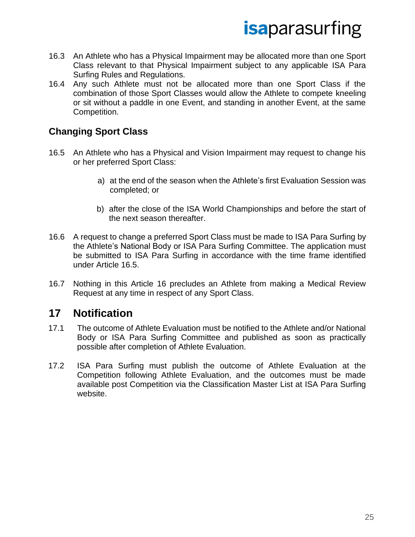- 16.3 An Athlete who has a Physical Impairment may be allocated more than one Sport Class relevant to that Physical Impairment subject to any applicable ISA Para Surfing Rules and Regulations.
- 16.4 Any such Athlete must not be allocated more than one Sport Class if the combination of those Sport Classes would allow the Athlete to compete kneeling or sit without a paddle in one Event, and standing in another Event, at the same Competition.

#### **Changing Sport Class**

- 16.5 An Athlete who has a Physical and Vision Impairment may request to change his or her preferred Sport Class:
	- a) at the end of the season when the Athlete's first Evaluation Session was completed; or
	- b) after the close of the ISA World Championships and before the start of the next season thereafter.
- 16.6 A request to change a preferred Sport Class must be made to ISA Para Surfing by the Athlete's National Body or ISA Para Surfing Committee. The application must be submitted to ISA Para Surfing in accordance with the time frame identified under Article 16.5.
- 16.7 Nothing in this Article 16 precludes an Athlete from making a Medical Review Request at any time in respect of any Sport Class.

#### <span id="page-24-0"></span>**17 Notification**

- 17.1 The outcome of Athlete Evaluation must be notified to the Athlete and/or National Body or ISA Para Surfing Committee and published as soon as practically possible after completion of Athlete Evaluation.
- 17.2 ISA Para Surfing must publish the outcome of Athlete Evaluation at the Competition following Athlete Evaluation, and the outcomes must be made available post Competition via the Classification Master List at ISA Para Surfing website.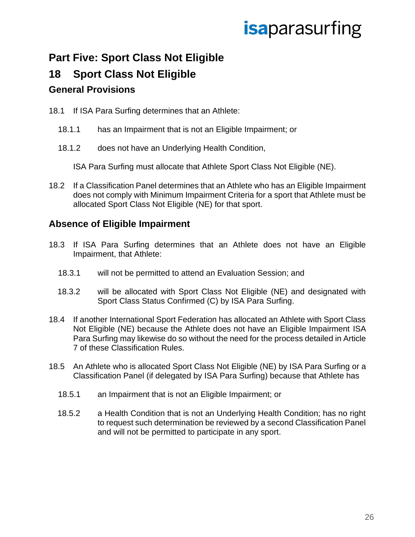### <span id="page-25-0"></span>**Part Five: Sport Class Not Eligible**

### <span id="page-25-1"></span>**18 Sport Class Not Eligible**

#### **General Provisions**

- 18.1 If ISA Para Surfing determines that an Athlete:
	- 18.1.1 has an Impairment that is not an Eligible Impairment; or
	- 18.1.2 does not have an Underlying Health Condition,

ISA Para Surfing must allocate that Athlete Sport Class Not Eligible (NE).

18.2 If a Classification Panel determines that an Athlete who has an Eligible Impairment does not comply with Minimum Impairment Criteria for a sport that Athlete must be allocated Sport Class Not Eligible (NE) for that sport.

#### **Absence of Eligible Impairment**

- 18.3 If ISA Para Surfing determines that an Athlete does not have an Eligible Impairment, that Athlete:
	- 18.3.1 will not be permitted to attend an Evaluation Session; and
	- 18.3.2 will be allocated with Sport Class Not Eligible (NE) and designated with Sport Class Status Confirmed (C) by ISA Para Surfing.
- 18.4 If another International Sport Federation has allocated an Athlete with Sport Class Not Eligible (NE) because the Athlete does not have an Eligible Impairment ISA Para Surfing may likewise do so without the need for the process detailed in Article 7 of these Classification Rules.
- 18.5 An Athlete who is allocated Sport Class Not Eligible (NE) by ISA Para Surfing or a Classification Panel (if delegated by ISA Para Surfing) because that Athlete has
	- 18.5.1 an Impairment that is not an Eligible Impairment; or
	- 18.5.2 a Health Condition that is not an Underlying Health Condition; has no right to request such determination be reviewed by a second Classification Panel and will not be permitted to participate in any sport.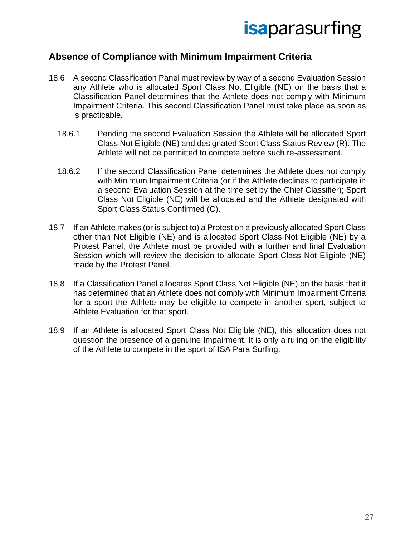#### **Absence of Compliance with Minimum Impairment Criteria**

- 18.6 A second Classification Panel must review by way of a second Evaluation Session any Athlete who is allocated Sport Class Not Eligible (NE) on the basis that a Classification Panel determines that the Athlete does not comply with Minimum Impairment Criteria. This second Classification Panel must take place as soon as is practicable.
	- 18.6.1 Pending the second Evaluation Session the Athlete will be allocated Sport Class Not Eligible (NE) and designated Sport Class Status Review (R). The Athlete will not be permitted to compete before such re-assessment.
	- 18.6.2 If the second Classification Panel determines the Athlete does not comply with Minimum Impairment Criteria (or if the Athlete declines to participate in a second Evaluation Session at the time set by the Chief Classifier); Sport Class Not Eligible (NE) will be allocated and the Athlete designated with Sport Class Status Confirmed (C).
- 18.7 If an Athlete makes (or is subject to) a Protest on a previously allocated Sport Class other than Not Eligible (NE) and is allocated Sport Class Not Eligible (NE) by a Protest Panel, the Athlete must be provided with a further and final Evaluation Session which will review the decision to allocate Sport Class Not Eligible (NE) made by the Protest Panel.
- 18.8 If a Classification Panel allocates Sport Class Not Eligible (NE) on the basis that it has determined that an Athlete does not comply with Minimum Impairment Criteria for a sport the Athlete may be eligible to compete in another sport, subject to Athlete Evaluation for that sport.
- 18.9 If an Athlete is allocated Sport Class Not Eligible (NE), this allocation does not question the presence of a genuine Impairment. It is only a ruling on the eligibility of the Athlete to compete in the sport of ISA Para Surfing.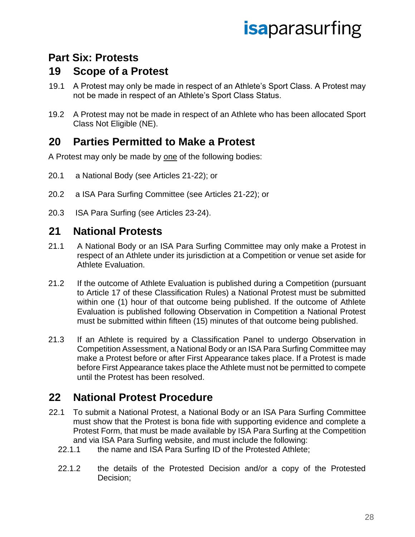### <span id="page-27-0"></span>**Part Six: Protests**

### <span id="page-27-1"></span>**19 Scope of a Protest**

- 19.1 A Protest may only be made in respect of an Athlete's Sport Class. A Protest may not be made in respect of an Athlete's Sport Class Status.
- 19.2 A Protest may not be made in respect of an Athlete who has been allocated Sport Class Not Eligible (NE).

### <span id="page-27-2"></span>**20 Parties Permitted to Make a Protest**

A Protest may only be made by one of the following bodies:

- 20.1 a National Body (see Articles 21-22); or
- 20.2 a ISA Para Surfing Committee (see Articles 21-22); or
- 20.3 ISA Para Surfing (see Articles 23-24).

#### <span id="page-27-3"></span>**21 National Protests**

- 21.1 A National Body or an ISA Para Surfing Committee may only make a Protest in respect of an Athlete under its jurisdiction at a Competition or venue set aside for Athlete Evaluation.
- 21.2 If the outcome of Athlete Evaluation is published during a Competition (pursuant to Article 17 of these Classification Rules) a National Protest must be submitted within one (1) hour of that outcome being published. If the outcome of Athlete Evaluation is published following Observation in Competition a National Protest must be submitted within fifteen (15) minutes of that outcome being published.
- 21.3 If an Athlete is required by a Classification Panel to undergo Observation in Competition Assessment, a National Body or an ISA Para Surfing Committee may make a Protest before or after First Appearance takes place. If a Protest is made before First Appearance takes place the Athlete must not be permitted to compete until the Protest has been resolved.

### <span id="page-27-4"></span>**22 National Protest Procedure**

- 22.1 To submit a National Protest, a National Body or an ISA Para Surfing Committee must show that the Protest is bona fide with supporting evidence and complete a Protest Form, that must be made available by ISA Para Surfing at the Competition and via ISA Para Surfing website, and must include the following:
	- 22.1.1 the name and ISA Para Surfing ID of the Protested Athlete;
	- 22.1.2 the details of the Protested Decision and/or a copy of the Protested Decision;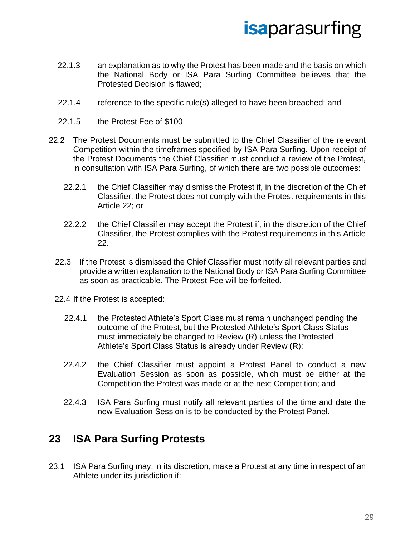- 22.1.3 an explanation as to why the Protest has been made and the basis on which the National Body or ISA Para Surfing Committee believes that the Protested Decision is flawed;
- 22.1.4 reference to the specific rule(s) alleged to have been breached; and
- 22.1.5 the Protest Fee of \$100
- 22.2 The Protest Documents must be submitted to the Chief Classifier of the relevant Competition within the timeframes specified by ISA Para Surfing. Upon receipt of the Protest Documents the Chief Classifier must conduct a review of the Protest, in consultation with ISA Para Surfing, of which there are two possible outcomes:
	- 22.2.1 the Chief Classifier may dismiss the Protest if, in the discretion of the Chief Classifier, the Protest does not comply with the Protest requirements in this Article 22; or
	- 22.2.2 the Chief Classifier may accept the Protest if, in the discretion of the Chief Classifier, the Protest complies with the Protest requirements in this Article 22.
	- 22.3 If the Protest is dismissed the Chief Classifier must notify all relevant parties and provide a written explanation to the National Body or ISA Para Surfing Committee as soon as practicable. The Protest Fee will be forfeited.
	- 22.4 If the Protest is accepted:
		- 22.4.1 the Protested Athlete's Sport Class must remain unchanged pending the outcome of the Protest, but the Protested Athlete's Sport Class Status must immediately be changed to Review (R) unless the Protested Athlete's Sport Class Status is already under Review (R);
		- 22.4.2 the Chief Classifier must appoint a Protest Panel to conduct a new Evaluation Session as soon as possible, which must be either at the Competition the Protest was made or at the next Competition; and
		- 22.4.3 ISA Para Surfing must notify all relevant parties of the time and date the new Evaluation Session is to be conducted by the Protest Panel.

#### <span id="page-28-0"></span>**23 ISA Para Surfing Protests**

23.1 ISA Para Surfing may, in its discretion, make a Protest at any time in respect of an Athlete under its jurisdiction if: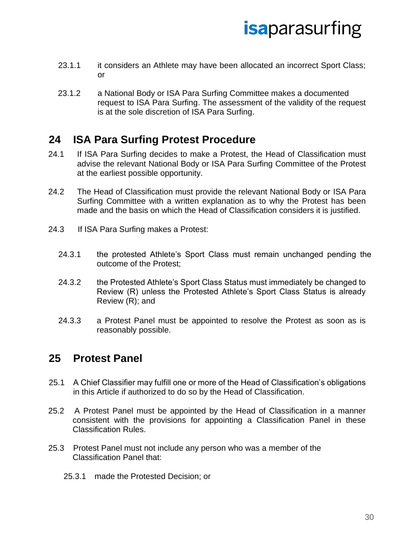- 23.1.1 it considers an Athlete may have been allocated an incorrect Sport Class; or
- 23.1.2 a National Body or ISA Para Surfing Committee makes a documented request to ISA Para Surfing. The assessment of the validity of the request is at the sole discretion of ISA Para Surfing.

#### <span id="page-29-0"></span>**24 ISA Para Surfing Protest Procedure**

- 24.1 If ISA Para Surfing decides to make a Protest, the Head of Classification must advise the relevant National Body or ISA Para Surfing Committee of the Protest at the earliest possible opportunity.
- 24.2 The Head of Classification must provide the relevant National Body or ISA Para Surfing Committee with a written explanation as to why the Protest has been made and the basis on which the Head of Classification considers it is justified.
- 24.3 If ISA Para Surfing makes a Protest:
	- 24.3.1 the protested Athlete's Sport Class must remain unchanged pending the outcome of the Protest;
	- 24.3.2 the Protested Athlete's Sport Class Status must immediately be changed to Review (R) unless the Protested Athlete's Sport Class Status is already Review (R); and
	- 24.3.3 a Protest Panel must be appointed to resolve the Protest as soon as is reasonably possible.

#### <span id="page-29-1"></span>**25 Protest Panel**

- 25.1 A Chief Classifier may fulfill one or more of the Head of Classification's obligations in this Article if authorized to do so by the Head of Classification.
- 25.2 A Protest Panel must be appointed by the Head of Classification in a manner consistent with the provisions for appointing a Classification Panel in these Classification Rules.
- 25.3 Protest Panel must not include any person who was a member of the Classification Panel that:
	- 25.3.1 made the Protested Decision; or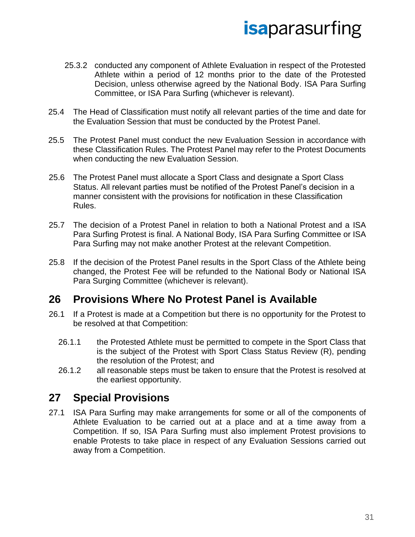- 25.3.2 conducted any component of Athlete Evaluation in respect of the Protested Athlete within a period of 12 months prior to the date of the Protested Decision, unless otherwise agreed by the National Body. ISA Para Surfing Committee, or ISA Para Surfing (whichever is relevant).
- 25.4 The Head of Classification must notify all relevant parties of the time and date for the Evaluation Session that must be conducted by the Protest Panel.
- 25.5 The Protest Panel must conduct the new Evaluation Session in accordance with these Classification Rules. The Protest Panel may refer to the Protest Documents when conducting the new Evaluation Session.
- 25.6 The Protest Panel must allocate a Sport Class and designate a Sport Class Status. All relevant parties must be notified of the Protest Panel's decision in a manner consistent with the provisions for notification in these Classification Rules.
- 25.7 The decision of a Protest Panel in relation to both a National Protest and a ISA Para Surfing Protest is final. A National Body, ISA Para Surfing Committee or ISA Para Surfing may not make another Protest at the relevant Competition.
- 25.8 If the decision of the Protest Panel results in the Sport Class of the Athlete being changed, the Protest Fee will be refunded to the National Body or National ISA Para Surging Committee (whichever is relevant).

#### <span id="page-30-0"></span>**26 Provisions Where No Protest Panel is Available**

- 26.1 If a Protest is made at a Competition but there is no opportunity for the Protest to be resolved at that Competition:
	- 26.1.1 the Protested Athlete must be permitted to compete in the Sport Class that is the subject of the Protest with Sport Class Status Review (R), pending the resolution of the Protest; and
	- 26.1.2 all reasonable steps must be taken to ensure that the Protest is resolved at the earliest opportunity.

### <span id="page-30-1"></span>**27 Special Provisions**

27.1 ISA Para Surfing may make arrangements for some or all of the components of Athlete Evaluation to be carried out at a place and at a time away from a Competition. If so, ISA Para Surfing must also implement Protest provisions to enable Protests to take place in respect of any Evaluation Sessions carried out away from a Competition.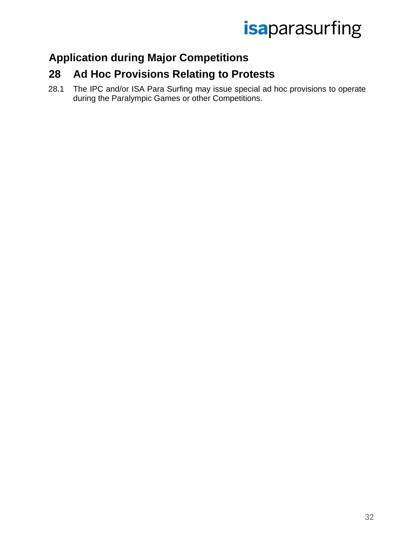### <span id="page-31-0"></span>**Application during Major Competitions**

### <span id="page-31-1"></span>**28 Ad Hoc Provisions Relating to Protests**

28.1 The IPC and/or ISA Para Surfing may issue special ad hoc provisions to operate during the Paralympic Games or other Competitions.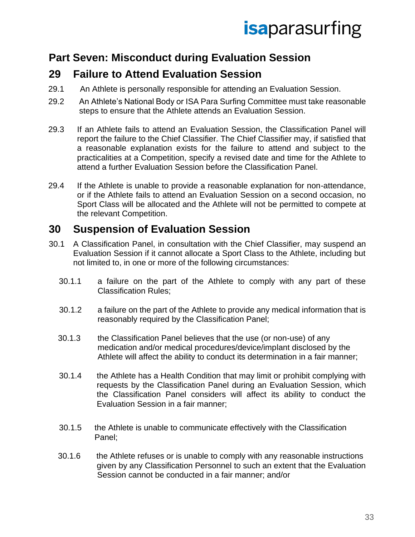### <span id="page-32-0"></span>**Part Seven: Misconduct during Evaluation Session**

### <span id="page-32-1"></span>**29 Failure to Attend Evaluation Session**

- 29.1 An Athlete is personally responsible for attending an Evaluation Session.
- 29.2 An Athlete's National Body or ISA Para Surfing Committee must take reasonable steps to ensure that the Athlete attends an Evaluation Session.
- 29.3 If an Athlete fails to attend an Evaluation Session, the Classification Panel will report the failure to the Chief Classifier. The Chief Classifier may, if satisfied that a reasonable explanation exists for the failure to attend and subject to the practicalities at a Competition, specify a revised date and time for the Athlete to attend a further Evaluation Session before the Classification Panel.
- 29.4 If the Athlete is unable to provide a reasonable explanation for non-attendance, or if the Athlete fails to attend an Evaluation Session on a second occasion, no Sport Class will be allocated and the Athlete will not be permitted to compete at the relevant Competition.

### <span id="page-32-2"></span>**30 Suspension of Evaluation Session**

- 30.1 A Classification Panel, in consultation with the Chief Classifier, may suspend an Evaluation Session if it cannot allocate a Sport Class to the Athlete, including but not limited to, in one or more of the following circumstances:
	- 30.1.1 a failure on the part of the Athlete to comply with any part of these Classification Rules;
	- 30.1.2 a failure on the part of the Athlete to provide any medical information that is reasonably required by the Classification Panel;
	- 30.1.3 the Classification Panel believes that the use (or non-use) of any medication and/or medical procedures/device/implant disclosed by the Athlete will affect the ability to conduct its determination in a fair manner;
	- 30.1.4 the Athlete has a Health Condition that may limit or prohibit complying with requests by the Classification Panel during an Evaluation Session, which the Classification Panel considers will affect its ability to conduct the Evaluation Session in a fair manner;
	- 30.1.5 the Athlete is unable to communicate effectively with the Classification Panel;
	- 30.1.6 the Athlete refuses or is unable to comply with any reasonable instructions given by any Classification Personnel to such an extent that the Evaluation Session cannot be conducted in a fair manner; and/or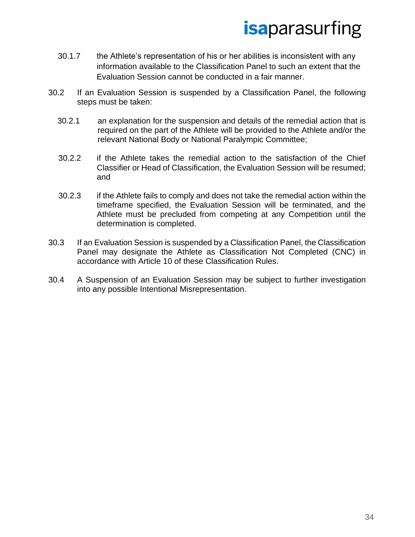- 30.1.7 the Athlete's representation of his or her abilities is inconsistent with any information available to the Classification Panel to such an extent that the Evaluation Session cannot be conducted in a fair manner.
- 30.2 If an Evaluation Session is suspended by a Classification Panel, the following steps must be taken:
	- 30.2.1 an explanation for the suspension and details of the remedial action that is required on the part of the Athlete will be provided to the Athlete and/or the relevant National Body or National Paralympic Committee;
	- 30.2.2 if the Athlete takes the remedial action to the satisfaction of the Chief Classifier or Head of Classification, the Evaluation Session will be resumed; and
	- 30.2.3 if the Athlete fails to comply and does not take the remedial action within the timeframe specified, the Evaluation Session will be terminated, and the Athlete must be precluded from competing at any Competition until the determination is completed.
- 30.3 If an Evaluation Session is suspended by a Classification Panel, the Classification Panel may designate the Athlete as Classification Not Completed (CNC) in accordance with Article 10 of these Classification Rules.
- 30.4 A Suspension of an Evaluation Session may be subject to further investigation into any possible Intentional Misrepresentation.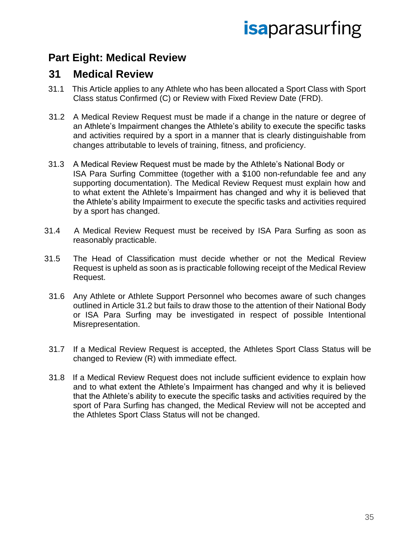### <span id="page-34-0"></span>**Part Eight: Medical Review**

#### <span id="page-34-1"></span>**31 Medical Review**

- 31.1 This Article applies to any Athlete who has been allocated a Sport Class with Sport Class status Confirmed (C) or Review with Fixed Review Date (FRD).
- 31.2 A Medical Review Request must be made if a change in the nature or degree of an Athlete's Impairment changes the Athlete's ability to execute the specific tasks and activities required by a sport in a manner that is clearly distinguishable from changes attributable to levels of training, fitness, and proficiency.
- 31.3 A Medical Review Request must be made by the Athlete's National Body or ISA Para Surfing Committee (together with a \$100 non-refundable fee and any supporting documentation). The Medical Review Request must explain how and to what extent the Athlete's Impairment has changed and why it is believed that the Athlete's ability Impairment to execute the specific tasks and activities required by a sport has changed.
- 31.4 A Medical Review Request must be received by ISA Para Surfing as soon as reasonably practicable.
- 31.5 The Head of Classification must decide whether or not the Medical Review Request is upheld as soon as is practicable following receipt of the Medical Review Request.
- 31.6 Any Athlete or Athlete Support Personnel who becomes aware of such changes outlined in Article 31.2 but fails to draw those to the attention of their National Body or ISA Para Surfing may be investigated in respect of possible Intentional Misrepresentation.
- 31.7 If a Medical Review Request is accepted, the Athletes Sport Class Status will be changed to Review (R) with immediate effect.
- 31.8 If a Medical Review Request does not include sufficient evidence to explain how and to what extent the Athlete's Impairment has changed and why it is believed that the Athlete's ability to execute the specific tasks and activities required by the sport of Para Surfing has changed, the Medical Review will not be accepted and the Athletes Sport Class Status will not be changed.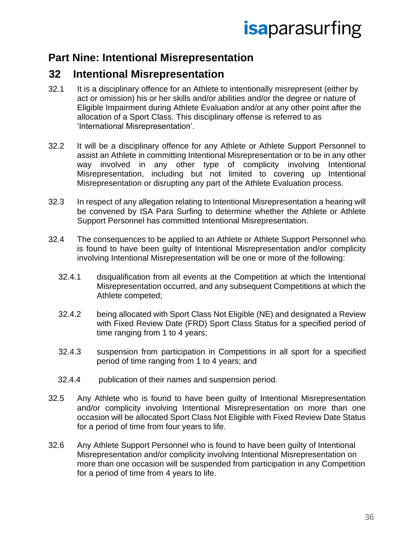### <span id="page-35-0"></span>**Part Nine: Intentional Misrepresentation**

### <span id="page-35-1"></span>**32 Intentional Misrepresentation**

- 32.1 It is a disciplinary offence for an Athlete to intentionally misrepresent (either by act or omission) his or her skills and/or abilities and/or the degree or nature of Eligible Impairment during Athlete Evaluation and/or at any other point after the allocation of a Sport Class. This disciplinary offense is referred to as 'International Misrepresentation'.
- 32.2 It will be a disciplinary offence for any Athlete or Athlete Support Personnel to assist an Athlete in committing Intentional Misrepresentation or to be in any other way involved in any other type of complicity involving Intentional Misrepresentation, including but not limited to covering up Intentional Misrepresentation or disrupting any part of the Athlete Evaluation process.
- 32.3 In respect of any allegation relating to Intentional Misrepresentation a hearing will be convened by ISA Para Surfing to determine whether the Athlete or Athlete Support Personnel has committed Intentional Misrepresentation.
- 32.4 The consequences to be applied to an Athlete or Athlete Support Personnel who is found to have been guilty of Intentional Misrepresentation and/or complicity involving Intentional Misrepresentation will be one or more of the following:
	- 32.4.1 disqualification from all events at the Competition at which the Intentional Misrepresentation occurred, and any subsequent Competitions at which the Athlete competed;
	- 32.4.2 being allocated with Sport Class Not Eligible (NE) and designated a Review with Fixed Review Date (FRD) Sport Class Status for a specified period of time ranging from 1 to 4 years;
	- 32.4.3 suspension from participation in Competitions in all sport for a specified period of time ranging from 1 to 4 years; and
	- 32.4.4 publication of their names and suspension period.
- 32.5 Any Athlete who is found to have been guilty of Intentional Misrepresentation and/or complicity involving Intentional Misrepresentation on more than one occasion will be allocated Sport Class Not Eligible with Fixed Review Date Status for a period of time from four years to life.
- 32.6 Any Athlete Support Personnel who is found to have been guilty of Intentional Misrepresentation and/or complicity involving Intentional Misrepresentation on more than one occasion will be suspended from participation in any Competition for a period of time from 4 years to life.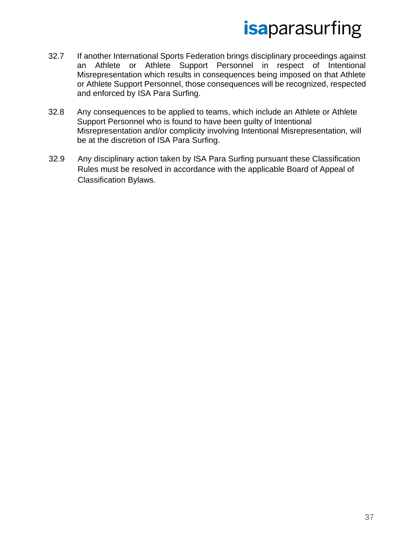- 32.7 If another International Sports Federation brings disciplinary proceedings against an Athlete or Athlete Support Personnel in respect of Intentional Misrepresentation which results in consequences being imposed on that Athlete or Athlete Support Personnel, those consequences will be recognized, respected and enforced by ISA Para Surfing.
- 32.8 Any consequences to be applied to teams, which include an Athlete or Athlete Support Personnel who is found to have been guilty of Intentional Misrepresentation and/or complicity involving Intentional Misrepresentation, will be at the discretion of ISA Para Surfing.
- 32.9 Any disciplinary action taken by ISA Para Surfing pursuant these Classification Rules must be resolved in accordance with the applicable Board of Appeal of Classification Bylaws.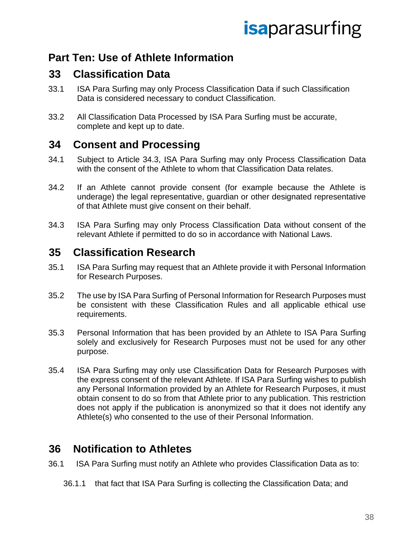### **Part Ten: Use of Athlete Information**

#### **33 Classification Data**

- 33.1 ISA Para Surfing may only Process Classification Data if such Classification Data is considered necessary to conduct Classification.
- 33.2 All Classification Data Processed by ISA Para Surfing must be accurate, complete and kept up to date.

#### **34 Consent and Processing**

- 34.1 Subject to Article 34.3, ISA Para Surfing may only Process Classification Data with the consent of the Athlete to whom that Classification Data relates.
- 34.2 If an Athlete cannot provide consent (for example because the Athlete is underage) the legal representative, guardian or other designated representative of that Athlete must give consent on their behalf.
- 34.3 ISA Para Surfing may only Process Classification Data without consent of the relevant Athlete if permitted to do so in accordance with National Laws.

#### **35 Classification Research**

- 35.1 ISA Para Surfing may request that an Athlete provide it with Personal Information for Research Purposes.
- 35.2 The use by ISA Para Surfing of Personal Information for Research Purposes must be consistent with these Classification Rules and all applicable ethical use requirements.
- 35.3 Personal Information that has been provided by an Athlete to ISA Para Surfing solely and exclusively for Research Purposes must not be used for any other purpose.
- 35.4 ISA Para Surfing may only use Classification Data for Research Purposes with the express consent of the relevant Athlete. If ISA Para Surfing wishes to publish any Personal Information provided by an Athlete for Research Purposes, it must obtain consent to do so from that Athlete prior to any publication. This restriction does not apply if the publication is anonymized so that it does not identify any Athlete(s) who consented to the use of their Personal Information.

#### **36 Notification to Athletes**

36.1 ISA Para Surfing must notify an Athlete who provides Classification Data as to:

36.1.1 that fact that ISA Para Surfing is collecting the Classification Data; and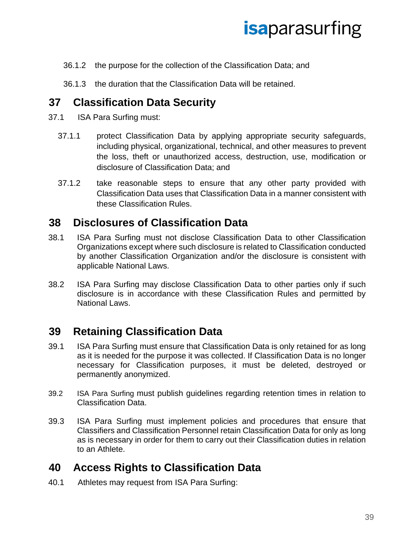- 36.1.2 the purpose for the collection of the Classification Data; and
- 36.1.3 the duration that the Classification Data will be retained.

#### **37 Classification Data Security**

- 37.1 ISA Para Surfing must:
	- 37.1.1 protect Classification Data by applying appropriate security safeguards, including physical, organizational, technical, and other measures to prevent the loss, theft or unauthorized access, destruction, use, modification or disclosure of Classification Data; and
	- 37.1.2 take reasonable steps to ensure that any other party provided with Classification Data uses that Classification Data in a manner consistent with these Classification Rules.

#### **38 Disclosures of Classification Data**

- 38.1 ISA Para Surfing must not disclose Classification Data to other Classification Organizations except where such disclosure is related to Classification conducted by another Classification Organization and/or the disclosure is consistent with applicable National Laws.
- 38.2 ISA Para Surfing may disclose Classification Data to other parties only if such disclosure is in accordance with these Classification Rules and permitted by National Laws.

#### **39 Retaining Classification Data**

- 39.1 ISA Para Surfing must ensure that Classification Data is only retained for as long as it is needed for the purpose it was collected. If Classification Data is no longer necessary for Classification purposes, it must be deleted, destroyed or permanently anonymized.
- 39.2 ISA Para Surfing must publish guidelines regarding retention times in relation to Classification Data.
- 39.3 ISA Para Surfing must implement policies and procedures that ensure that Classifiers and Classification Personnel retain Classification Data for only as long as is necessary in order for them to carry out their Classification duties in relation to an Athlete.

#### **40 Access Rights to Classification Data**

40.1 Athletes may request from ISA Para Surfing: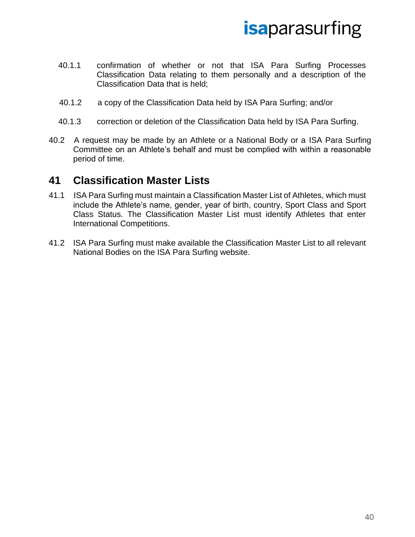- 40.1.1 confirmation of whether or not that ISA Para Surfing Processes Classification Data relating to them personally and a description of the Classification Data that is held;
- 40.1.2 a copy of the Classification Data held by ISA Para Surfing; and/or
- 40.1.3 correction or deletion of the Classification Data held by ISA Para Surfing.
- 40.2 A request may be made by an Athlete or a National Body or a ISA Para Surfing Committee on an Athlete's behalf and must be complied with within a reasonable period of time.

#### **41 Classification Master Lists**

- 41.1 ISA Para Surfing must maintain a Classification Master List of Athletes, which must include the Athlete's name, gender, year of birth, country, Sport Class and Sport Class Status. The Classification Master List must identify Athletes that enter International Competitions.
- 41.2 ISA Para Surfing must make available the Classification Master List to all relevant National Bodies on the ISA Para Surfing website.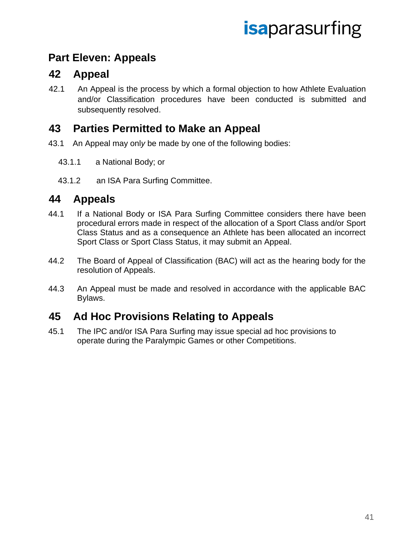### **Part Eleven: Appeals**

#### **42 Appeal**

42.1 An Appeal is the process by which a formal objection to how Athlete Evaluation and/or Classification procedures have been conducted is submitted and subsequently resolved.

#### **43 Parties Permitted to Make an Appeal**

- 43.1 An Appeal may onl*y* be made by one of the following bodies:
	- 43.1.1 a National Body; or
	- 43.1.2 an ISA Para Surfing Committee.

#### **44 Appeals**

- 44.1 If a National Body or ISA Para Surfing Committee considers there have been procedural errors made in respect of the allocation of a Sport Class and/or Sport Class Status and as a consequence an Athlete has been allocated an incorrect Sport Class or Sport Class Status, it may submit an Appeal.
- 44.2 The Board of Appeal of Classification (BAC) will act as the hearing body for the resolution of Appeals.
- 44.3 An Appeal must be made and resolved in accordance with the applicable BAC Bylaws.

#### **45 Ad Hoc Provisions Relating to Appeals**

45.1 The IPC and/or ISA Para Surfing may issue special ad hoc provisions to operate during the Paralympic Games or other Competitions.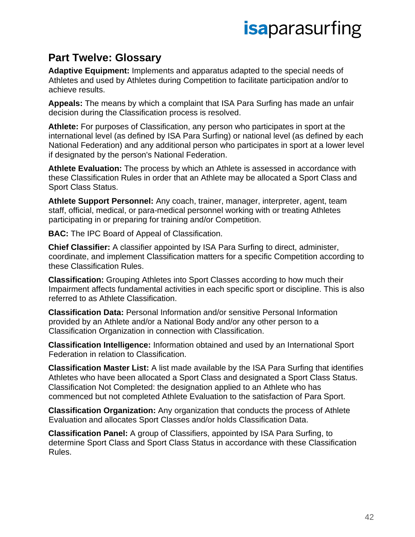### **Part Twelve: Glossary**

**Adaptive Equipment:** Implements and apparatus adapted to the special needs of Athletes and used by Athletes during Competition to facilitate participation and/or to achieve results.

**Appeals:** The means by which a complaint that ISA Para Surfing has made an unfair decision during the Classification process is resolved.

**Athlete:** For purposes of Classification, any person who participates in sport at the international level (as defined by ISA Para Surfing) or national level (as defined by each National Federation) and any additional person who participates in sport at a lower level if designated by the person's National Federation.

**Athlete Evaluation:** The process by which an Athlete is assessed in accordance with these Classification Rules in order that an Athlete may be allocated a Sport Class and Sport Class Status.

**Athlete Support Personnel:** Any coach, trainer, manager, interpreter, agent, team staff, official, medical, or para-medical personnel working with or treating Athletes participating in or preparing for training and/or Competition.

**BAC:** The IPC Board of Appeal of Classification.

**Chief Classifier:** A classifier appointed by ISA Para Surfing to direct, administer, coordinate, and implement Classification matters for a specific Competition according to these Classification Rules.

**Classification:** Grouping Athletes into Sport Classes according to how much their Impairment affects fundamental activities in each specific sport or discipline. This is also referred to as Athlete Classification.

**Classification Data:** Personal Information and/or sensitive Personal Information provided by an Athlete and/or a National Body and/or any other person to a Classification Organization in connection with Classification.

**Classification Intelligence:** Information obtained and used by an International Sport Federation in relation to Classification.

**Classification Master List:** A list made available by the ISA Para Surfing that identifies Athletes who have been allocated a Sport Class and designated a Sport Class Status. Classification Not Completed: the designation applied to an Athlete who has commenced but not completed Athlete Evaluation to the satisfaction of Para Sport.

**Classification Organization:** Any organization that conducts the process of Athlete Evaluation and allocates Sport Classes and/or holds Classification Data.

**Classification Panel:** A group of Classifiers, appointed by ISA Para Surfing, to determine Sport Class and Sport Class Status in accordance with these Classification Rules.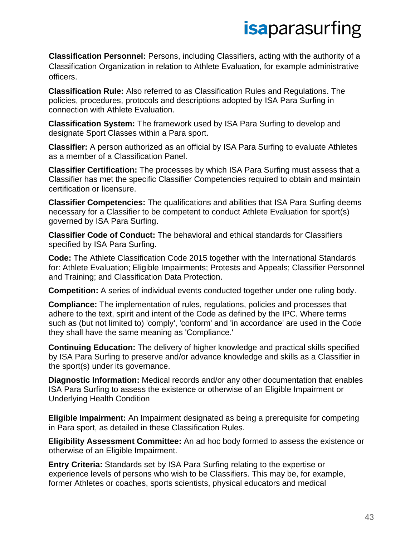**Classification Personnel:** Persons, including Classifiers, acting with the authority of a Classification Organization in relation to Athlete Evaluation, for example administrative officers.

**Classification Rule:** Also referred to as Classification Rules and Regulations. The policies, procedures, protocols and descriptions adopted by ISA Para Surfing in connection with Athlete Evaluation.

**Classification System:** The framework used by ISA Para Surfing to develop and designate Sport Classes within a Para sport.

**Classifier:** A person authorized as an official by ISA Para Surfing to evaluate Athletes as a member of a Classification Panel.

**Classifier Certification:** The processes by which ISA Para Surfing must assess that a Classifier has met the specific Classifier Competencies required to obtain and maintain certification or licensure.

**Classifier Competencies:** The qualifications and abilities that ISA Para Surfing deems necessary for a Classifier to be competent to conduct Athlete Evaluation for sport(s) governed by ISA Para Surfing.

**Classifier Code of Conduct:** The behavioral and ethical standards for Classifiers specified by ISA Para Surfing.

**Code:** The Athlete Classification Code 2015 together with the International Standards for: Athlete Evaluation; Eligible Impairments; Protests and Appeals; Classifier Personnel and Training; and Classification Data Protection.

**Competition:** A series of individual events conducted together under one ruling body.

**Compliance:** The implementation of rules, regulations, policies and processes that adhere to the text, spirit and intent of the Code as defined by the IPC. Where terms such as (but not limited to) 'comply', 'conform' and 'in accordance' are used in the Code they shall have the same meaning as 'Compliance.'

**Continuing Education:** The delivery of higher knowledge and practical skills specified by ISA Para Surfing to preserve and/or advance knowledge and skills as a Classifier in the sport(s) under its governance.

**Diagnostic Information:** Medical records and/or any other documentation that enables ISA Para Surfing to assess the existence or otherwise of an Eligible Impairment or Underlying Health Condition

**Eligible Impairment:** An Impairment designated as being a prerequisite for competing in Para sport, as detailed in these Classification Rules.

**Eligibility Assessment Committee:** An ad hoc body formed to assess the existence or otherwise of an Eligible Impairment.

**Entry Criteria:** Standards set by ISA Para Surfing relating to the expertise or experience levels of persons who wish to be Classifiers. This may be, for example, former Athletes or coaches, sports scientists, physical educators and medical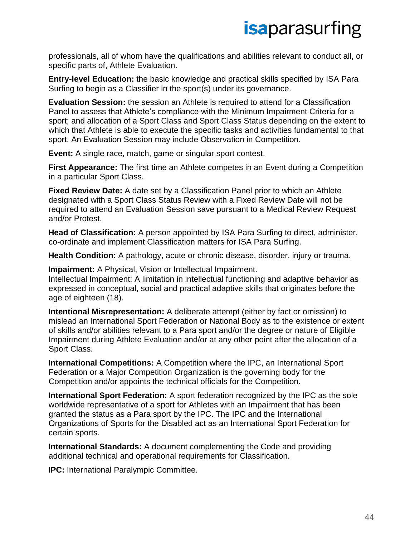professionals, all of whom have the qualifications and abilities relevant to conduct all, or specific parts of, Athlete Evaluation.

**Entry-level Education:** the basic knowledge and practical skills specified by ISA Para Surfing to begin as a Classifier in the sport(s) under its governance.

**Evaluation Session:** the session an Athlete is required to attend for a Classification Panel to assess that Athlete's compliance with the Minimum Impairment Criteria for a sport; and allocation of a Sport Class and Sport Class Status depending on the extent to which that Athlete is able to execute the specific tasks and activities fundamental to that sport. An Evaluation Session may include Observation in Competition.

**Event:** A single race, match, game or singular sport contest.

**First Appearance:** The first time an Athlete competes in an Event during a Competition in a particular Sport Class.

**Fixed Review Date:** A date set by a Classification Panel prior to which an Athlete designated with a Sport Class Status Review with a Fixed Review Date will not be required to attend an Evaluation Session save pursuant to a Medical Review Request and/or Protest.

**Head of Classification:** A person appointed by ISA Para Surfing to direct, administer, co-ordinate and implement Classification matters for ISA Para Surfing.

**Health Condition:** A pathology, acute or chronic disease, disorder, injury or trauma.

**Impairment:** A Physical, Vision or Intellectual Impairment.

Intellectual Impairment: A limitation in intellectual functioning and adaptive behavior as expressed in conceptual, social and practical adaptive skills that originates before the age of eighteen (18).

**Intentional Misrepresentation:** A deliberate attempt (either by fact or omission) to mislead an International Sport Federation or National Body as to the existence or extent of skills and/or abilities relevant to a Para sport and/or the degree or nature of Eligible Impairment during Athlete Evaluation and/or at any other point after the allocation of a Sport Class.

**International Competitions:** A Competition where the IPC, an International Sport Federation or a Major Competition Organization is the governing body for the Competition and/or appoints the technical officials for the Competition.

**International Sport Federation:** A sport federation recognized by the IPC as the sole worldwide representative of a sport for Athletes with an Impairment that has been granted the status as a Para sport by the IPC. The IPC and the International Organizations of Sports for the Disabled act as an International Sport Federation for certain sports.

**International Standards:** A document complementing the Code and providing additional technical and operational requirements for Classification.

**IPC:** International Paralympic Committee.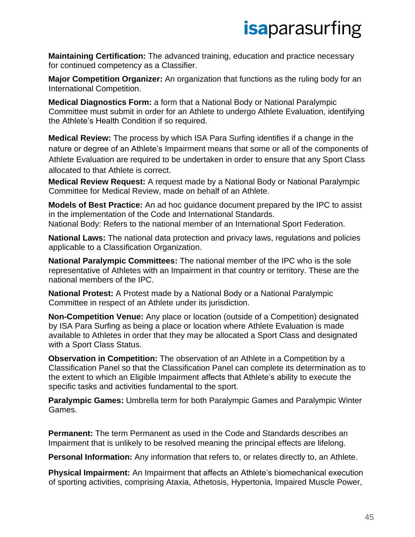**Maintaining Certification:** The advanced training, education and practice necessary for continued competency as a Classifier.

**Major Competition Organizer:** An organization that functions as the ruling body for an International Competition.

**Medical Diagnostics Form:** a form that a National Body or National Paralympic Committee must submit in order for an Athlete to undergo Athlete Evaluation, identifying the Athlete's Health Condition if so required.

**Medical Review:** The process by which ISA Para Surfing identifies if a change in the nature or degree of an Athlete's Impairment means that some or all of the components of Athlete Evaluation are required to be undertaken in order to ensure that any Sport Class allocated to that Athlete is correct.

**Medical Review Request:** A request made by a National Body or National Paralympic Committee for Medical Review, made on behalf of an Athlete.

**Models of Best Practice:** An ad hoc guidance document prepared by the IPC to assist in the implementation of the Code and International Standards. National Body: Refers to the national member of an International Sport Federation.

**National Laws:** The national data protection and privacy laws, regulations and policies applicable to a Classification Organization.

**National Paralympic Committees:** The national member of the IPC who is the sole representative of Athletes with an Impairment in that country or territory. These are the national members of the IPC.

**National Protest:** A Protest made by a National Body or a National Paralympic Committee in respect of an Athlete under its jurisdiction.

**Non-Competition Venue:** Any place or location (outside of a Competition) designated by ISA Para Surfing as being a place or location where Athlete Evaluation is made available to Athletes in order that they may be allocated a Sport Class and designated with a Sport Class Status.

**Observation in Competition:** The observation of an Athlete in a Competition by a Classification Panel so that the Classification Panel can complete its determination as to the extent to which an Eligible Impairment affects that Athlete's ability to execute the specific tasks and activities fundamental to the sport.

**Paralympic Games:** Umbrella term for both Paralympic Games and Paralympic Winter Games.

**Permanent:** The term Permanent as used in the Code and Standards describes an Impairment that is unlikely to be resolved meaning the principal effects are lifelong.

**Personal Information:** Any information that refers to, or relates directly to, an Athlete.

**Physical Impairment:** An Impairment that affects an Athlete's biomechanical execution of sporting activities, comprising Ataxia, Athetosis, Hypertonia, Impaired Muscle Power,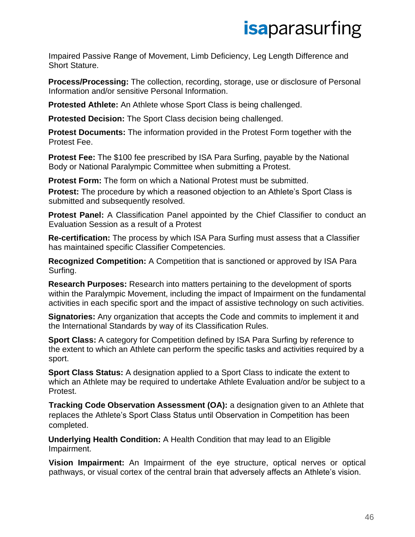Impaired Passive Range of Movement, Limb Deficiency, Leg Length Difference and Short Stature.

**Process/Processing:** The collection, recording, storage, use or disclosure of Personal Information and/or sensitive Personal Information.

**Protested Athlete:** An Athlete whose Sport Class is being challenged.

**Protested Decision:** The Sport Class decision being challenged.

**Protest Documents:** The information provided in the Protest Form together with the Protest Fee.

**Protest Fee:** The \$100 fee prescribed by ISA Para Surfing, payable by the National Body or National Paralympic Committee when submitting a Protest.

**Protest Form:** The form on which a National Protest must be submitted. **Protest:** The procedure by which a reasoned objection to an Athlete's Sport Class is submitted and subsequently resolved.

**Protest Panel:** A Classification Panel appointed by the Chief Classifier to conduct an Evaluation Session as a result of a Protest

**Re-certification:** The process by which ISA Para Surfing must assess that a Classifier has maintained specific Classifier Competencies.

**Recognized Competition:** A Competition that is sanctioned or approved by ISA Para Surfing.

**Research Purposes:** Research into matters pertaining to the development of sports within the Paralympic Movement, including the impact of Impairment on the fundamental activities in each specific sport and the impact of assistive technology on such activities.

**Signatories:** Any organization that accepts the Code and commits to implement it and the International Standards by way of its Classification Rules.

**Sport Class:** A category for Competition defined by ISA Para Surfing by reference to the extent to which an Athlete can perform the specific tasks and activities required by a sport.

**Sport Class Status:** A designation applied to a Sport Class to indicate the extent to which an Athlete may be required to undertake Athlete Evaluation and/or be subject to a Protest.

**Tracking Code Observation Assessment (OA):** a designation given to an Athlete that replaces the Athlete's Sport Class Status until Observation in Competition has been completed.

**Underlying Health Condition:** A Health Condition that may lead to an Eligible Impairment.

**Vision Impairment:** An Impairment of the eye structure, optical nerves or optical pathways, or visual cortex of the central brain that adversely affects an Athlete's vision.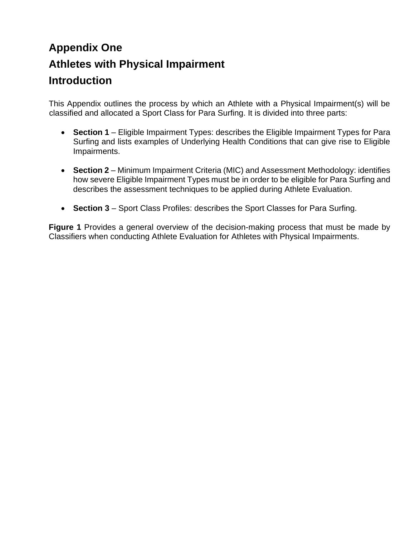### **Appendix One Athletes with Physical Impairment Introduction**

This Appendix outlines the process by which an Athlete with a Physical Impairment(s) will be classified and allocated a Sport Class for Para Surfing. It is divided into three parts:

- **Section 1** Eligible Impairment Types: describes the Eligible Impairment Types for Para Surfing and lists examples of Underlying Health Conditions that can give rise to Eligible Impairments.
- **Section 2** Minimum Impairment Criteria (MIC) and Assessment Methodology: identifies how severe Eligible Impairment Types must be in order to be eligible for Para Surfing and describes the assessment techniques to be applied during Athlete Evaluation.
- **Section 3** Sport Class Profiles: describes the Sport Classes for Para Surfing.

**Figure 1** Provides a general overview of the decision-making process that must be made by Classifiers when conducting Athlete Evaluation for Athletes with Physical Impairments.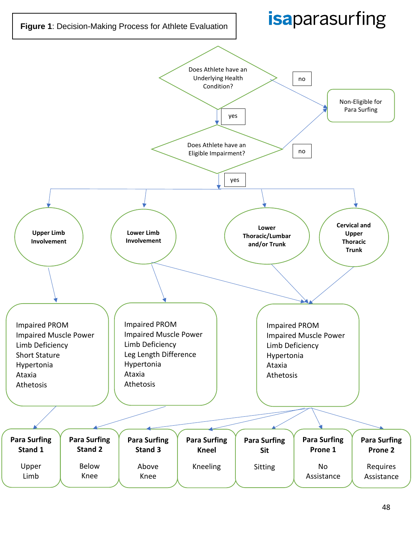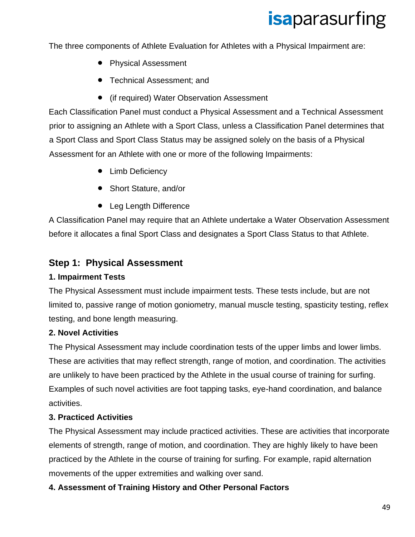The three components of Athlete Evaluation for Athletes with a Physical Impairment are:

- Physical Assessment
- Technical Assessment; and
- (if required) Water Observation Assessment

Each Classification Panel must conduct a Physical Assessment and a Technical Assessment prior to assigning an Athlete with a Sport Class, unless a Classification Panel determines that a Sport Class and Sport Class Status may be assigned solely on the basis of a Physical Assessment for an Athlete with one or more of the following Impairments:

- Limb Deficiency
- Short Stature, and/or
- Leg Length Difference

A Classification Panel may require that an Athlete undertake a Water Observation Assessment before it allocates a final Sport Class and designates a Sport Class Status to that Athlete.

#### **Step 1: Physical Assessment**

#### **1. Impairment Tests**

The Physical Assessment must include impairment tests. These tests include, but are not limited to, passive range of motion goniometry, manual muscle testing, spasticity testing, reflex testing, and bone length measuring.

#### **2. Novel Activities**

The Physical Assessment may include coordination tests of the upper limbs and lower limbs. These are activities that may reflect strength, range of motion, and coordination. The activities are unlikely to have been practiced by the Athlete in the usual course of training for surfing. Examples of such novel activities are foot tapping tasks, eye-hand coordination, and balance activities.

#### **3. Practiced Activities**

The Physical Assessment may include practiced activities. These are activities that incorporate elements of strength, range of motion, and coordination. They are highly likely to have been practiced by the Athlete in the course of training for surfing. For example, rapid alternation movements of the upper extremities and walking over sand.

#### **4. Assessment of Training History and Other Personal Factors**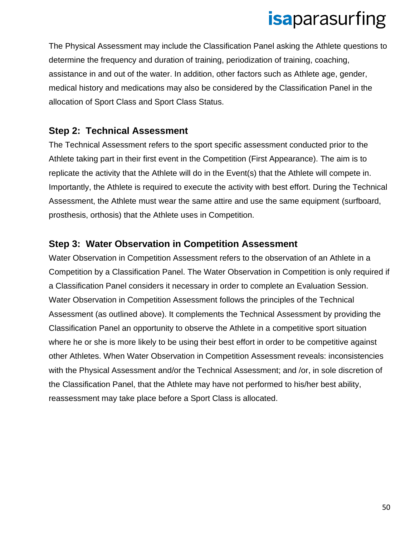The Physical Assessment may include the Classification Panel asking the Athlete questions to determine the frequency and duration of training, periodization of training, coaching, assistance in and out of the water. In addition, other factors such as Athlete age, gender, medical history and medications may also be considered by the Classification Panel in the allocation of Sport Class and Sport Class Status.

#### **Step 2: Technical Assessment**

The Technical Assessment refers to the sport specific assessment conducted prior to the Athlete taking part in their first event in the Competition (First Appearance). The aim is to replicate the activity that the Athlete will do in the Event(s) that the Athlete will compete in. Importantly, the Athlete is required to execute the activity with best effort. During the Technical Assessment, the Athlete must wear the same attire and use the same equipment (surfboard, prosthesis, orthosis) that the Athlete uses in Competition.

#### **Step 3: Water Observation in Competition Assessment**

Water Observation in Competition Assessment refers to the observation of an Athlete in a Competition by a Classification Panel. The Water Observation in Competition is only required if a Classification Panel considers it necessary in order to complete an Evaluation Session. Water Observation in Competition Assessment follows the principles of the Technical Assessment (as outlined above). It complements the Technical Assessment by providing the Classification Panel an opportunity to observe the Athlete in a competitive sport situation where he or she is more likely to be using their best effort in order to be competitive against other Athletes. When Water Observation in Competition Assessment reveals: inconsistencies with the Physical Assessment and/or the Technical Assessment; and /or, in sole discretion of the Classification Panel, that the Athlete may have not performed to his/her best ability, reassessment may take place before a Sport Class is allocated.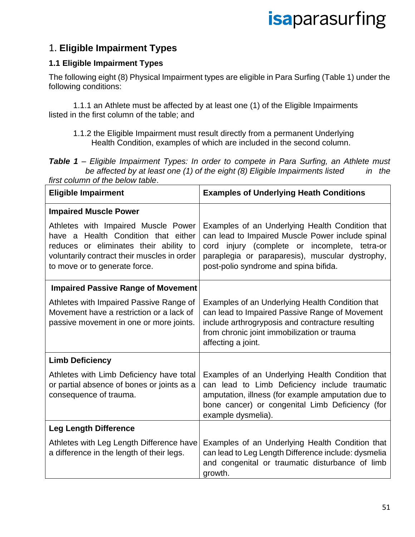#### 1. **Eligible Impairment Types**

#### **1.1 Eligible Impairment Types**

The following eight (8) Physical Impairment types are eligible in Para Surfing (Table 1) under the following conditions:

1.1.1 an Athlete must be affected by at least one (1) of the Eligible Impairments listed in the first column of the table; and

1.1.2 the Eligible Impairment must result directly from a permanent Underlying Health Condition, examples of which are included in the second column.

*Table 1 – Eligible Impairment Types: In order to compete in Para Surfing, an Athlete must be affected by at least one (1) of the eight (8) Eligible Impairments listed in the first column of the below table*.

| <b>Eligible Impairment</b>                                                                                                                                                                           | <b>Examples of Underlying Heath Conditions</b>                                                                                                                                                                                                   |
|------------------------------------------------------------------------------------------------------------------------------------------------------------------------------------------------------|--------------------------------------------------------------------------------------------------------------------------------------------------------------------------------------------------------------------------------------------------|
| <b>Impaired Muscle Power</b>                                                                                                                                                                         |                                                                                                                                                                                                                                                  |
| Athletes with Impaired Muscle Power<br>have a Health Condition that either<br>reduces or eliminates their ability to<br>voluntarily contract their muscles in order<br>to move or to generate force. | Examples of an Underlying Health Condition that<br>can lead to Impaired Muscle Power include spinal<br>cord injury (complete or incomplete, tetra-or<br>paraplegia or paraparesis), muscular dystrophy,<br>post-polio syndrome and spina bifida. |
| <b>Impaired Passive Range of Movement</b>                                                                                                                                                            |                                                                                                                                                                                                                                                  |
| Athletes with Impaired Passive Range of<br>Movement have a restriction or a lack of<br>passive movement in one or more joints.                                                                       | Examples of an Underlying Health Condition that<br>can lead to Impaired Passive Range of Movement<br>include arthrogryposis and contracture resulting<br>from chronic joint immobilization or trauma<br>affecting a joint.                       |
| <b>Limb Deficiency</b>                                                                                                                                                                               |                                                                                                                                                                                                                                                  |
| Athletes with Limb Deficiency have total<br>or partial absence of bones or joints as a<br>consequence of trauma.                                                                                     | Examples of an Underlying Health Condition that<br>can lead to Limb Deficiency include traumatic<br>amputation, illness (for example amputation due to<br>bone cancer) or congenital Limb Deficiency (for<br>example dysmelia).                  |
| <b>Leg Length Difference</b>                                                                                                                                                                         |                                                                                                                                                                                                                                                  |
| Athletes with Leg Length Difference have<br>a difference in the length of their legs.                                                                                                                | Examples of an Underlying Health Condition that<br>can lead to Leg Length Difference include: dysmelia<br>and congenital or traumatic disturbance of limb<br>growth.                                                                             |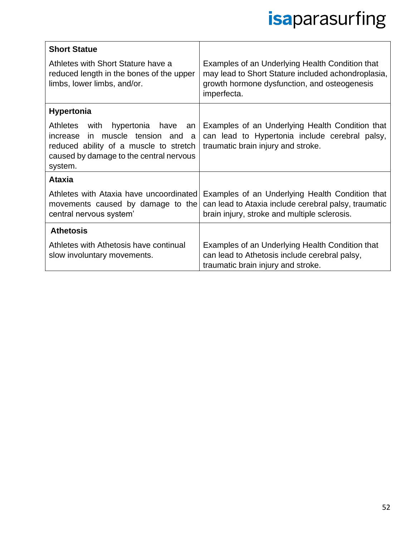| <b>Short Statue</b>                                                                                                                                                              |                                                                                                                                                                      |
|----------------------------------------------------------------------------------------------------------------------------------------------------------------------------------|----------------------------------------------------------------------------------------------------------------------------------------------------------------------|
| Athletes with Short Stature have a<br>reduced length in the bones of the upper<br>limbs, lower limbs, and/or.                                                                    | Examples of an Underlying Health Condition that<br>may lead to Short Stature included achondroplasia,<br>growth hormone dysfunction, and osteogenesis<br>imperfecta. |
| <b>Hypertonia</b>                                                                                                                                                                |                                                                                                                                                                      |
| Athletes with<br>hypertonia have<br>an<br>in muscle tension and<br>increase<br>a<br>reduced ability of a muscle to stretch<br>caused by damage to the central nervous<br>system. | Examples of an Underlying Health Condition that<br>can lead to Hypertonia include cerebral palsy,<br>traumatic brain injury and stroke.                              |
| <b>Ataxia</b>                                                                                                                                                                    |                                                                                                                                                                      |
| Athletes with Ataxia have uncoordinated<br>movements caused by damage to the<br>central nervous system'                                                                          | Examples of an Underlying Health Condition that<br>can lead to Ataxia include cerebral palsy, traumatic<br>brain injury, stroke and multiple sclerosis.              |
| <b>Athetosis</b>                                                                                                                                                                 |                                                                                                                                                                      |
| Athletes with Athetosis have continual<br>slow involuntary movements.                                                                                                            | Examples of an Underlying Health Condition that<br>can lead to Athetosis include cerebral palsy,<br>traumatic brain injury and stroke.                               |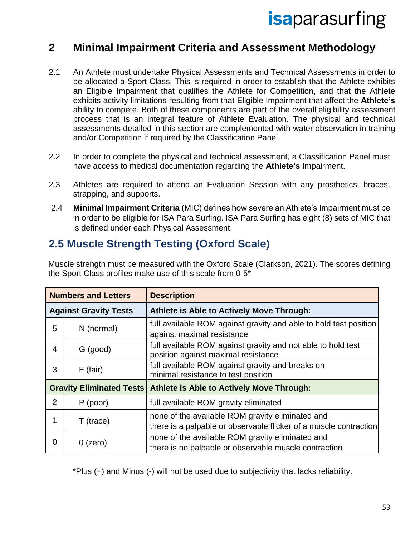#### **2 Minimal Impairment Criteria and Assessment Methodology**

- 2.1 An Athlete must undertake Physical Assessments and Technical Assessments in order to be allocated a Sport Class. This is required in order to establish that the Athlete exhibits an Eligible Impairment that qualifies the Athlete for Competition, and that the Athlete exhibits activity limitations resulting from that Eligible Impairment that affect the **Athlete's** ability to compete. Both of these components are part of the overall eligibility assessment process that is an integral feature of Athlete Evaluation. The physical and technical assessments detailed in this section are complemented with water observation in training and/or Competition if required by the Classification Panel.
- 2.2 In order to complete the physical and technical assessment, a Classification Panel must have access to medical documentation regarding the **Athlete's** Impairment.
- 2.3 Athletes are required to attend an Evaluation Session with any prosthetics, braces, strapping, and supports.
- 2.4 **Minimal Impairment Criteria** (MIC) defines how severe an Athlete's Impairment must be in order to be eligible for ISA Para Surfing. ISA Para Surfing has eight (8) sets of MIC that is defined under each Physical Assessment.

#### **2.5 Muscle Strength Testing (Oxford Scale)**

Muscle strength must be measured with the Oxford Scale (Clarkson, 2021). The scores defining the Sport Class profiles make use of this scale from 0-5\*

| <b>Numbers and Letters</b> |                              | <b>Description</b>                                                                                                    |
|----------------------------|------------------------------|-----------------------------------------------------------------------------------------------------------------------|
|                            | <b>Against Gravity Tests</b> | Athlete is Able to Actively Move Through:                                                                             |
| 5                          | N (normal)                   | full available ROM against gravity and able to hold test position<br>against maximal resistance                       |
| 4                          | G (good)                     | full available ROM against gravity and not able to hold test<br>position against maximal resistance                   |
| 3                          | $F$ (fair)                   | full available ROM against gravity and breaks on<br>minimal resistance to test position                               |
|                            |                              | <b>Gravity Eliminated Tests Athlete is Able to Actively Move Through:</b>                                             |
| $\overline{2}$             | $P$ (poor)                   | full available ROM gravity eliminated                                                                                 |
|                            | $T$ (trace)                  | none of the available ROM gravity eliminated and<br>there is a palpable or observable flicker of a muscle contraction |
| 0                          | $0$ (zero)                   | none of the available ROM gravity eliminated and<br>there is no palpable or observable muscle contraction             |

\*Plus (+) and Minus (-) will not be used due to subjectivity that lacks reliability.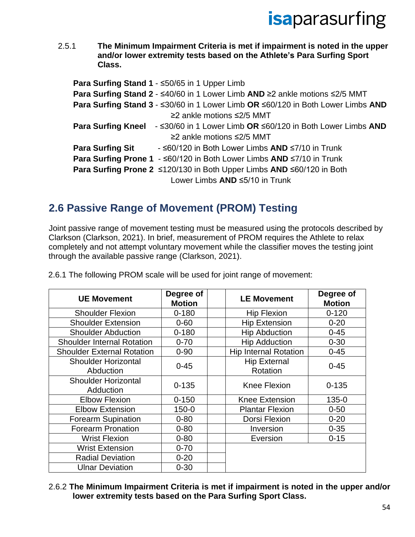2.5.1 **The Minimum Impairment Criteria is met if impairment is noted in the upper and/or lower extremity tests based on the Athlete's Para Surfing Sport Class.**

|                         | Para Surfing Stand 1 - ≤50/65 in 1 Upper Limb                                                    |
|-------------------------|--------------------------------------------------------------------------------------------------|
|                         | Para Surfing Stand 2 - ≤40/60 in 1 Lower Limb AND ≥2 ankle motions ≤2/5 MMT                      |
|                         | Para Surfing Stand 3 - ≤30/60 in 1 Lower Limb OR ≤60/120 in Both Lower Limbs AND                 |
|                         | ≥2 ankle motions $≤2/5$ MMT                                                                      |
|                         | <b>Para Surfing Kneel</b> $ \leq$ 30/60 in 1 Lower Limb OR $\leq$ 60/120 in Both Lower Limbs AND |
|                         | ≥2 ankle motions $≤2/5$ MMT                                                                      |
| <b>Para Surfing Sit</b> | - ≤60/120 in Both Lower Limbs AND ≤7/10 in Trunk                                                 |
|                         | Para Surfing Prone 1 - ≤60/120 in Both Lower Limbs AND ≤7/10 in Trunk                            |
|                         | Para Surfing Prone 2 ≤120/130 in Both Upper Limbs AND ≤60/120 in Both                            |
|                         | Lower Limbs AND ≤5/10 in Trunk                                                                   |

### **2.6 Passive Range of Movement (PROM) Testing**

Joint passive range of movement testing must be measured using the protocols described by Clarkson (Clarkson, 2021). In brief, measurement of PROM requires the Athlete to relax completely and not attempt voluntary movement while the classifier moves the testing joint through the available passive range (Clarkson, 2021).

| <b>UE Movement</b>                      | Degree of<br><b>Motion</b> | <b>LE Movement</b>              | Degree of<br><b>Motion</b> |
|-----------------------------------------|----------------------------|---------------------------------|----------------------------|
| <b>Shoulder Flexion</b>                 | $0 - 180$                  | <b>Hip Flexion</b>              | $0 - 120$                  |
| <b>Shoulder Extension</b>               | $0 - 60$                   | <b>Hip Extension</b>            | $0 - 20$                   |
| <b>Shoulder Abduction</b>               | $0 - 180$                  | <b>Hip Abduction</b>            | $0 - 45$                   |
| <b>Shoulder Internal Rotation</b>       | $0 - 70$                   | <b>Hip Adduction</b>            | $0 - 30$                   |
| <b>Shoulder External Rotation</b>       | $0 - 90$                   | <b>Hip Internal Rotation</b>    | $0 - 45$                   |
| <b>Shoulder Horizontal</b><br>Abduction | $0 - 45$                   | <b>Hip External</b><br>Rotation | $0 - 45$                   |
| <b>Shoulder Horizontal</b><br>Adduction | $0 - 135$                  | Knee Flexion                    | $0 - 135$                  |
| <b>Elbow Flexion</b>                    | $0 - 150$                  | <b>Knee Extension</b>           | 135-0                      |
| <b>Elbow Extension</b>                  | $150 - 0$                  | <b>Plantar Flexion</b>          | $0 - 50$                   |
| <b>Forearm Supination</b>               | $0 - 80$                   | Dorsi Flexion                   | $0 - 20$                   |
| <b>Forearm Pronation</b>                | $0 - 80$                   | Inversion                       | $0 - 35$                   |
| <b>Wrist Flexion</b>                    | $0 - 80$                   | Eversion                        | $0 - 15$                   |
| <b>Wrist Extension</b>                  | $0 - 70$                   |                                 |                            |
| <b>Radial Deviation</b>                 | $0 - 20$                   |                                 |                            |
| <b>Ulnar Deviation</b>                  | $0 - 30$                   |                                 |                            |

2.6.1 The following PROM scale will be used for joint range of movement:

2.6.2 **The Minimum Impairment Criteria is met if impairment is noted in the upper and/or lower extremity tests based on the Para Surfing Sport Class.**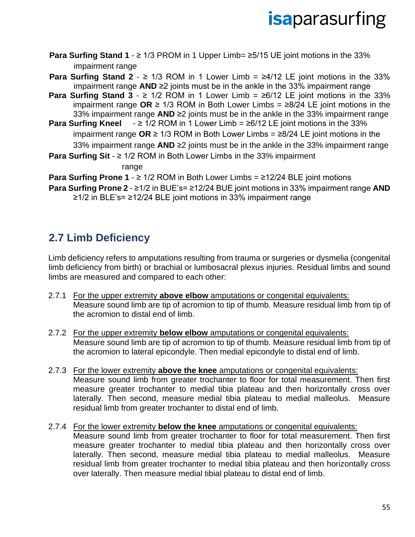- **Para Surfing Stand 1** ≥ 1/3 PROM in 1 Upper Limb= ≥5/15 UE joint motions in the 33% impairment range
- **Para Surfing Stand 2**  $\geq$  1/3 ROM in 1 Lower Limb =  $\geq$ 4/12 LE joint motions in the 33% impairment range **AND** ≥2 joints must be in the ankle in the 33% impairment range
- **Para Surfing Stand 3**  $\geq$  1/2 ROM in 1 Lower Limb =  $\geq$ 6/12 LE joint motions in the 33% impairment range **OR** ≥ 1/3 ROM in Both Lower Limbs = ≥8/24 LE joint motions in the 33% impairment range **AND** ≥2 joints must be in the ankle in the 33% impairment range
- **Para Surfing Kneel** ≥ 1/2 ROM in 1 Lower Limb = ≥6/12 LE joint motions in the 33% impairment range **OR** ≥ 1/3 ROM in Both Lower Limbs = ≥8/24 LE joint motions in the 33% impairment range **AND** ≥2 joints must be in the ankle in the 33% impairment range
- **Para Surfing Sit** ≥ 1/2 ROM in Both Lower Limbs in the 33% impairment range

**Para Surfing Prone 1** - ≥ 1/2 ROM in Both Lower Limbs = ≥12/24 BLE joint motions

**Para Surfing Prone 2** - ≥1/2 in BUE's= ≥12/24 BUE joint motions in 33% impairment range **AND** ≥1/2 in BLE's= ≥12/24 BLE joint motions in 33% impairment range

### **2.7 Limb Deficiency**

Limb deficiency refers to amputations resulting from trauma or surgeries or dysmelia (congenital limb deficiency from birth) or brachial or lumbosacral plexus injuries. Residual limbs and sound limbs are measured and compared to each other:

- 2.7.1 For the upper extremity **above elbow** amputations or congenital equivalents: Measure sound limb are tip of acromion to tip of thumb. Measure residual limb from tip of the acromion to distal end of limb.
- 2.7.2 For the upper extremity **below elbow** amputations or congenital equivalents: Measure sound limb are tip of acromion to tip of thumb. Measure residual limb from tip of the acromion to lateral epicondyle. Then medial epicondyle to distal end of limb.
- 2.7.3 For the lower extremity **above the knee** amputations or congenital equivalents: Measure sound limb from greater trochanter to floor for total measurement. Then first measure greater trochanter to medial tibia plateau and then horizontally cross over laterally. Then second, measure medial tibia plateau to medial malleolus. Measure residual limb from greater trochanter to distal end of limb.
- 2.7.4 For the lower extremity **below the knee** amputations or congenital equivalents: Measure sound limb from greater trochanter to floor for total measurement. Then first measure greater trochanter to medial tibia plateau and then horizontally cross over laterally. Then second, measure medial tibia plateau to medial malleolus. Measure residual limb from greater trochanter to medial tibia plateau and then horizontally cross over laterally. Then measure medial tibial plateau to distal end of limb.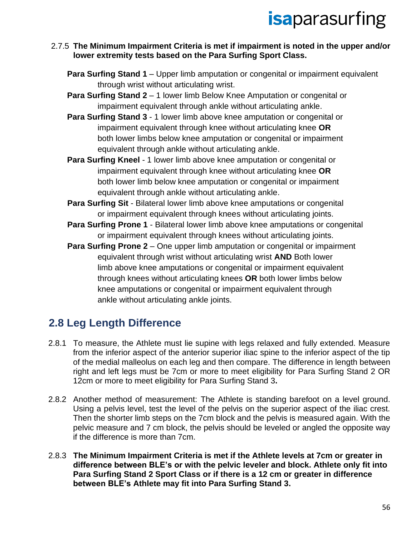#### 2.7.5 **The Minimum Impairment Criteria is met if impairment is noted in the upper and/or lower extremity tests based on the Para Surfing Sport Class.**

- **Para Surfing Stand 1** Upper limb amputation or congenital or impairment equivalent through wrist without articulating wrist.
- **Para Surfing Stand 2** 1 lower limb Below Knee Amputation or congenital or impairment equivalent through ankle without articulating ankle.
- **Para Surfing Stand 3** 1 lower limb above knee amputation or congenital or impairment equivalent through knee without articulating knee **OR** both lower limbs below knee amputation or congenital or impairment equivalent through ankle without articulating ankle.
- **Para Surfing Kneel** 1 lower limb above knee amputation or congenital or impairment equivalent through knee without articulating knee **OR** both lower limb below knee amputation or congenital or impairment equivalent through ankle without articulating ankle.
- **Para Surfing Sit** Bilateral lower limb above knee amputations or congenital or impairment equivalent through knees without articulating joints.
- **Para Surfing Prone 1** Bilateral lower limb above knee amputations or congenital or impairment equivalent through knees without articulating joints.
- **Para Surfing Prone 2** One upper limb amputation or congenital or impairment equivalent through wrist without articulating wrist **AND** Both lower limb above knee amputations or congenital or impairment equivalent through knees without articulating knees **OR** both lower limbs below knee amputations or congenital or impairment equivalent through ankle without articulating ankle joints.

### **2.8 Leg Length Difference**

- 2.8.1 To measure, the Athlete must lie supine with legs relaxed and fully extended. Measure from the inferior aspect of the anterior superior iliac spine to the inferior aspect of the tip of the medial malleolus on each leg and then compare. The difference in length between right and left legs must be 7cm or more to meet eligibility for Para Surfing Stand 2 OR 12cm or more to meet eligibility for Para Surfing Stand 3**.**
- 2.8.2 Another method of measurement: The Athlete is standing barefoot on a level ground. Using a pelvis level, test the level of the pelvis on the superior aspect of the iliac crest. Then the shorter limb steps on the 7cm block and the pelvis is measured again. With the pelvic measure and 7 cm block, the pelvis should be leveled or angled the opposite way if the difference is more than 7cm.
- 2.8.3 **The Minimum Impairment Criteria is met if the Athlete levels at 7cm or greater in difference between BLE's or with the pelvic leveler and block. Athlete only fit into Para Surfing Stand 2 Sport Class or if there is a 12 cm or greater in difference between BLE's Athlete may fit into Para Surfing Stand 3.**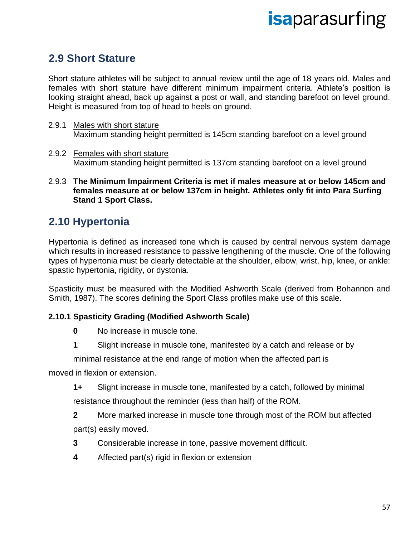#### **2.9 Short Stature**

Short stature athletes will be subject to annual review until the age of 18 years old. Males and females with short stature have different minimum impairment criteria. Athlete's position is looking straight ahead, back up against a post or wall, and standing barefoot on level ground. Height is measured from top of head to heels on ground.

- 2.9.1 Males with short stature Maximum standing height permitted is 145cm standing barefoot on a level ground
- 2.9.2 Females with short stature Maximum standing height permitted is 137cm standing barefoot on a level ground
- 2.9.3 **The Minimum Impairment Criteria is met if males measure at or below 145cm and females measure at or below 137cm in height. Athletes only fit into Para Surfing Stand 1 Sport Class.**

### **2.10 Hypertonia**

Hypertonia is defined as increased tone which is caused by central nervous system damage which results in increased resistance to passive lengthening of the muscle. One of the following types of hypertonia must be clearly detectable at the shoulder, elbow, wrist, hip, knee, or ankle: spastic hypertonia, rigidity, or dystonia.

Spasticity must be measured with the Modified Ashworth Scale (derived from Bohannon and Smith, 1987). The scores defining the Sport Class profiles make use of this scale.

#### **2.10.1 Spasticity Grading (Modified Ashworth Scale)**

- **0** No increase in muscle tone.
- **1** Slight increase in muscle tone, manifested by a catch and release or by

minimal resistance at the end range of motion when the affected part is

moved in flexion or extension.

**1+** Slight increase in muscle tone, manifested by a catch, followed by minimal resistance throughout the reminder (less than half) of the ROM.

**2** More marked increase in muscle tone through most of the ROM but affected part(s) easily moved.

- **3** Considerable increase in tone, passive movement difficult.
- **4** Affected part(s) rigid in flexion or extension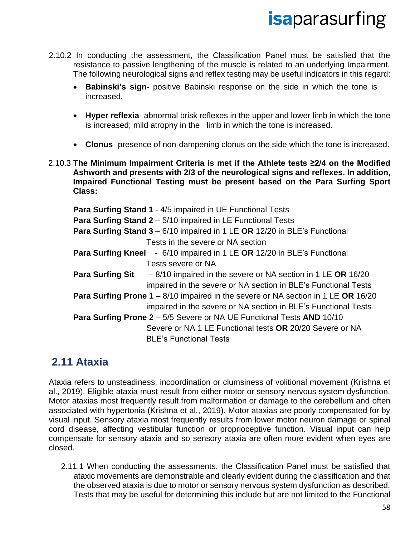- 2.10.2 In conducting the assessment, the Classification Panel must be satisfied that the resistance to passive lengthening of the muscle is related to an underlying Impairment. The following neurological signs and reflex testing may be useful indicators in this regard:
	- **Babinski's sign** positive Babinski response on the side in which the tone is increased.
	- **Hyper reflexia** abnormal brisk reflexes in the upper and lower limb in which the tone is increased; mild atrophy in the limb in which the tone is increased.
	- **Clonus** presence of non-dampening clonus on the side which the tone is increased.
- 2.10.3 **The Minimum Impairment Criteria is met if the Athlete tests ≥2/4 on the Modified Ashworth and presents with 2/3 of the neurological signs and reflexes. In addition, Impaired Functional Testing must be present based on the Para Surfing Sport Class:**

**Para Surfing Stand 1** - 4/5 impaired in UE Functional Tests **Para Surfing Stand 2** – 5/10 impaired in LE Functional Tests **Para Surfing Stand 3** – 6/10 impaired in 1 LE **OR** 12/20 in BLE's Functional Tests in the severe or NA section **Para Surfing Kneel** - 6/10 impaired in 1 LE **OR** 12/20 in BLE's Functional Tests severe or NA **Para Surfing Sit** – 8/10 impaired in the severe or NA section in 1 LE **OR** 16/20 impaired in the severe or NA section in BLE's Functional Tests **Para Surfing Prone 1** – 8/10 impaired in the severe or NA section in 1 LE **OR** 16/20 impaired in the severe or NA section in BLE's Functional Tests **Para Surfing Prone 2** – 5/5 Severe or NA UE Functional Tests **AND** 10/10 Severe or NA 1 LE Functional tests **OR** 20/20 Severe or NA BLE's Functional Tests

#### **2.11 Ataxia**

Ataxia refers to unsteadiness, incoordination or clumsiness of volitional movement (Krishna et al., 2019). Eligible ataxia must result from either motor or sensory nervous system dysfunction. Motor ataxias most frequently result from malformation or damage to the cerebellum and often associated with hypertonia (Krishna et al., 2019). Motor ataxias are poorly compensated for by visual input. Sensory ataxia most frequently results from lower motor neuron damage or spinal cord disease, affecting vestibular function or proprioceptive function. Visual input can help compensate for sensory ataxia and so sensory ataxia are often more evident when eyes are closed.

2.11.1 When conducting the assessments, the Classification Panel must be satisfied that ataxic movements are demonstrable and clearly evident during the classification and that the observed ataxia is due to motor or sensory nervous system dysfunction as described. Tests that may be useful for determining this include but are not limited to the Functional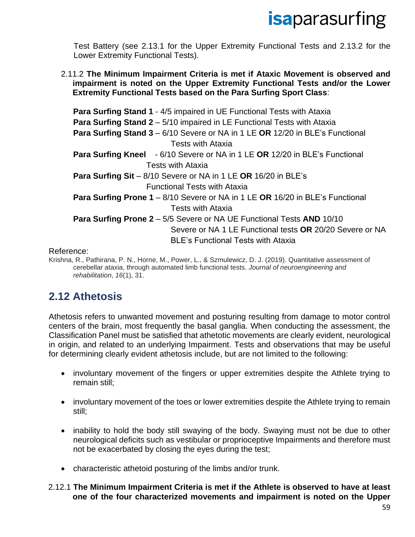Test Battery (see 2.13.1 for the Upper Extremity Functional Tests and 2.13.2 for the Lower Extremity Functional Tests).

2.11.2 **The Minimum Impairment Criteria is met if Ataxic Movement is observed and impairment is noted on the Upper Extremity Functional Tests and/or the Lower Extremity Functional Tests based on the Para Surfing Sport Class**:

**Para Surfing Stand 1** - 4/5 impaired in UE Functional Tests with Ataxia **Para Surfing Stand 2** – 5/10 impaired in LE Functional Tests with Ataxia **Para Surfing Stand 3** – 6/10 Severe or NA in 1 LE **OR** 12/20 in BLE's Functional Tests with Ataxia **Para Surfing Kneel** - 6/10 Severe or NA in 1 LE **OR** 12/20 in BLE's Functional Tests with Ataxia **Para Surfing Sit** – 8/10 Severe or NA in 1 LE **OR** 16/20 in BLE's Functional Tests with Ataxia **Para Surfing Prone 1** – 8/10 Severe or NA in 1 LE **OR** 16/20 in BLE's Functional Tests with Ataxia **Para Surfing Prone 2** – 5/5 Severe or NA UE Functional Tests **AND** 10/10 Severe or NA 1 LE Functional tests **OR** 20/20 Severe or NA BLE's Functional Tests with Ataxia

#### Reference:

Krishna, R., Pathirana, P. N., Horne, M., Power, L., & Szmulewicz, D. J. (2019). Quantitative assessment of cerebellar ataxia, through automated limb functional tests. *Journal of neuroengineering and rehabilitation*, *16*(1), 31.

#### **2.12 Athetosis**

Athetosis refers to unwanted movement and posturing resulting from damage to motor control centers of the brain, most frequently the basal ganglia. When conducting the assessment, the Classification Panel must be satisfied that athetotic movements are clearly evident, neurological in origin, and related to an underlying Impairment. Tests and observations that may be useful for determining clearly evident athetosis include, but are not limited to the following:

- involuntary movement of the fingers or upper extremities despite the Athlete trying to remain still;
- involuntary movement of the toes or lower extremities despite the Athlete trying to remain still;
- inability to hold the body still swaying of the body. Swaying must not be due to other neurological deficits such as vestibular or proprioceptive Impairments and therefore must not be exacerbated by closing the eyes during the test;
- characteristic athetoid posturing of the limbs and/or trunk.

#### 2.12.1 **The Minimum Impairment Criteria is met if the Athlete is observed to have at least one of the four characterized movements and impairment is noted on the Upper**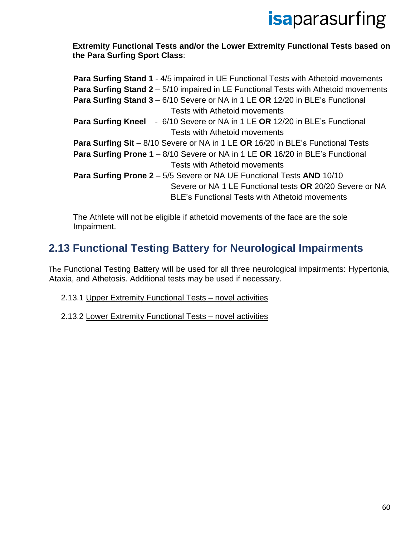**Extremity Functional Tests and/or the Lower Extremity Functional Tests based on the Para Surfing Sport Class**:

| <b>Para Surfing Stand 1 - 4/5 impaired in UE Functional Tests with Athetoid movements</b>  |
|--------------------------------------------------------------------------------------------|
| <b>Para Surfing Stand 2</b> – 5/10 impaired in LE Functional Tests with Athetoid movements |
| Para Surfing Stand 3 - 6/10 Severe or NA in 1 LE OR 12/20 in BLE's Functional              |
| <b>Tests with Athetoid movements</b>                                                       |
| <b>Para Surfing Kneel</b> - 6/10 Severe or NA in 1 LE OR 12/20 in BLE's Functional         |
| Tests with Athetoid movements                                                              |
| Para Surfing Sit - 8/10 Severe or NA in 1 LE OR 16/20 in BLE's Functional Tests            |
| Para Surfing Prone 1 - 8/10 Severe or NA in 1 LE OR 16/20 in BLE's Functional              |
| Tests with Athetoid movements                                                              |
| <b>Para Surfing Prone 2</b> - 5/5 Severe or NA UE Functional Tests AND 10/10               |
| Severe or NA 1 LE Functional tests OR 20/20 Severe or NA                                   |
| <b>BLE's Functional Tests with Athetoid movements</b>                                      |
|                                                                                            |

The Athlete will not be eligible if athetoid movements of the face are the sole Impairment.

### **2.13 Functional Testing Battery for Neurological Impairments**

The Functional Testing Battery will be used for all three neurological impairments: Hypertonia, Ataxia, and Athetosis. Additional tests may be used if necessary.

- 2.13.1 Upper Extremity Functional Tests novel activities
- 2.13.2 Lower Extremity Functional Tests novel activities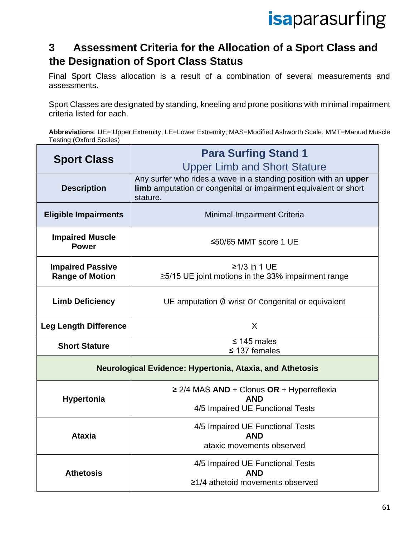### **3 Assessment Criteria for the Allocation of a Sport Class and the Designation of Sport Class Status**

Final Sport Class allocation is a result of a combination of several measurements and assessments.

Sport Classes are designated by standing, kneeling and prone positions with minimal impairment criteria listed for each.

**Abbreviations**: UE= Upper Extremity; LE=Lower Extremity; MAS=Modified Ashworth Scale; MMT=Manual Muscle Testing (Oxford Scales)

| <b>Sport Class</b>                                       | <b>Para Surfing Stand 1</b>                                                                                                                     |  |
|----------------------------------------------------------|-------------------------------------------------------------------------------------------------------------------------------------------------|--|
|                                                          | <b>Upper Limb and Short Stature</b>                                                                                                             |  |
| <b>Description</b>                                       | Any surfer who rides a wave in a standing position with an upper<br>limb amputation or congenital or impairment equivalent or short<br>stature. |  |
| <b>Eligible Impairments</b>                              | <b>Minimal Impairment Criteria</b>                                                                                                              |  |
| <b>Impaired Muscle</b><br><b>Power</b>                   | ≤50/65 MMT score 1 UE                                                                                                                           |  |
| <b>Impaired Passive</b>                                  | $\geq$ 1/3 in 1 UE                                                                                                                              |  |
| <b>Range of Motion</b>                                   | $\geq$ 5/15 UE joint motions in the 33% impairment range                                                                                        |  |
|                                                          |                                                                                                                                                 |  |
| <b>Limb Deficiency</b>                                   | UE amputation $\emptyset$ wrist Or Congenital or equivalent                                                                                     |  |
| <b>Leg Length Difference</b>                             | X                                                                                                                                               |  |
| <b>Short Stature</b>                                     | $\leq$ 145 males                                                                                                                                |  |
|                                                          | $\leq$ 137 females                                                                                                                              |  |
| Neurological Evidence: Hypertonia, Ataxia, and Athetosis |                                                                                                                                                 |  |
|                                                          | $\geq$ 2/4 MAS AND + Clonus OR + Hyperreflexia<br><b>AND</b>                                                                                    |  |
| <b>Hypertonia</b>                                        | 4/5 Impaired UE Functional Tests                                                                                                                |  |
|                                                          |                                                                                                                                                 |  |
|                                                          | 4/5 Impaired UE Functional Tests                                                                                                                |  |
| <b>Ataxia</b>                                            | <b>AND</b>                                                                                                                                      |  |
|                                                          | ataxic movements observed                                                                                                                       |  |
|                                                          | 4/5 Impaired UE Functional Tests                                                                                                                |  |
| <b>Athetosis</b>                                         | <b>AND</b><br>≥1/4 athetoid movements observed                                                                                                  |  |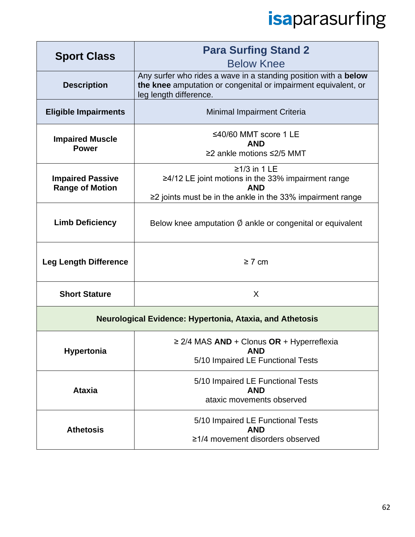| <b>Sport Class</b>                                       | <b>Para Surfing Stand 2</b><br><b>Below Knee</b>                                                                                                               |  |
|----------------------------------------------------------|----------------------------------------------------------------------------------------------------------------------------------------------------------------|--|
| <b>Description</b>                                       | Any surfer who rides a wave in a standing position with a below<br>the knee amputation or congenital or impairment equivalent, or<br>leg length difference.    |  |
| <b>Eligible Impairments</b>                              | Minimal Impairment Criteria                                                                                                                                    |  |
| <b>Impaired Muscle</b><br><b>Power</b>                   | ≤40/60 MMT score 1 LE<br><b>AND</b><br>≥2 ankle motions ≤2/5 MMT                                                                                               |  |
| <b>Impaired Passive</b><br><b>Range of Motion</b>        | $\geq$ 1/3 in 1 LE<br>$\geq$ 4/12 LE joint motions in the 33% impairment range<br><b>AND</b><br>$\geq$ joints must be in the ankle in the 33% impairment range |  |
| <b>Limb Deficiency</b>                                   | Below knee amputation $\emptyset$ ankle or congenital or equivalent                                                                                            |  |
| <b>Leg Length Difference</b>                             | $\geq 7$ cm                                                                                                                                                    |  |
| <b>Short Stature</b>                                     | X                                                                                                                                                              |  |
| Neurological Evidence: Hypertonia, Ataxia, and Athetosis |                                                                                                                                                                |  |
| <b>Hypertonia</b>                                        | $\geq$ 2/4 MAS AND + Clonus OR + Hyperreflexia<br><b>AND</b><br>5/10 Impaired LE Functional Tests                                                              |  |
| <b>Ataxia</b>                                            | 5/10 Impaired LE Functional Tests<br><b>AND</b><br>ataxic movements observed                                                                                   |  |
| <b>Athetosis</b>                                         | 5/10 Impaired LE Functional Tests<br><b>AND</b>                                                                                                                |  |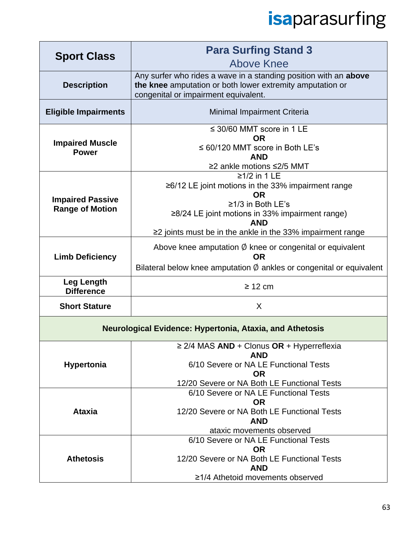| <b>Sport Class</b>                                | <b>Para Surfing Stand 3</b><br><b>Above Knee</b>                                                                                                                                                                                          |
|---------------------------------------------------|-------------------------------------------------------------------------------------------------------------------------------------------------------------------------------------------------------------------------------------------|
| <b>Description</b>                                | Any surfer who rides a wave in a standing position with an above<br>the knee amputation or both lower extremity amputation or<br>congenital or impairment equivalent.                                                                     |
| <b>Eligible Impairments</b>                       | Minimal Impairment Criteria                                                                                                                                                                                                               |
| <b>Impaired Muscle</b><br><b>Power</b>            | $\leq$ 30/60 MMT score in 1 LE<br><b>OR</b><br>$\leq 60/120$ MMT score in Both LE's<br><b>AND</b><br>≥2 ankle motions ≤2/5 MMT                                                                                                            |
| <b>Impaired Passive</b><br><b>Range of Motion</b> | $≥1/2$ in 1 LE<br>≥6/12 LE joint motions in the 33% impairment range<br>OR.<br>≥1/3 in Both LE's<br>$\geq$ 8/24 LE joint motions in 33% impairment range)<br><b>AND</b><br>$\geq$ joints must be in the ankle in the 33% impairment range |
| <b>Limb Deficiency</b>                            | Above knee amputation $\emptyset$ knee or congenital or equivalent<br><b>OR</b><br>Bilateral below knee amputation $\emptyset$ ankles or congenital or equivalent                                                                         |
| <b>Leg Length</b><br><b>Difference</b>            | $\geq$ 12 cm                                                                                                                                                                                                                              |
| <b>Short Stature</b>                              | X                                                                                                                                                                                                                                         |
|                                                   | <b>Neurological Evidence: Hypertonia, Ataxia, and Athetosis</b>                                                                                                                                                                           |
| <b>Hypertonia</b>                                 | $\geq$ 2/4 MAS AND + Clonus OR + Hyperreflexia<br><b>AND</b><br>6/10 Severe or NA LE Functional Tests<br><b>OR</b><br>12/20 Severe or NA Both LE Functional Tests                                                                         |
| <b>Ataxia</b>                                     | 6/10 Severe or NA LE Functional Tests<br><b>OR</b><br>12/20 Severe or NA Both LE Functional Tests<br><b>AND</b><br>ataxic movements observed                                                                                              |
| <b>Athetosis</b>                                  | 6/10 Severe or NA LE Functional Tests<br><b>OR</b><br>12/20 Severe or NA Both LE Functional Tests<br><b>AND</b><br>≥1/4 Athetoid movements observed                                                                                       |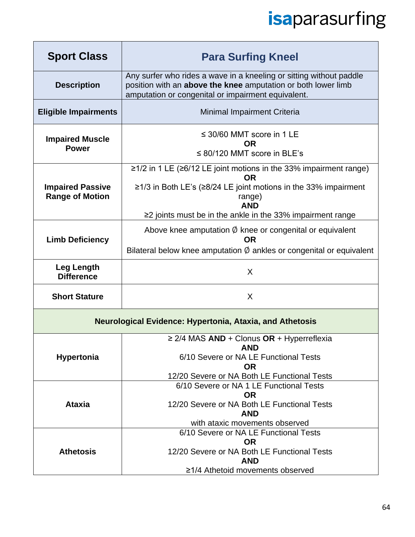| <b>Sport Class</b>                                       | <b>Para Surfing Kneel</b>                                                                                                                                                                                                                                |  |
|----------------------------------------------------------|----------------------------------------------------------------------------------------------------------------------------------------------------------------------------------------------------------------------------------------------------------|--|
| <b>Description</b>                                       | Any surfer who rides a wave in a kneeling or sitting without paddle<br>position with an above the knee amputation or both lower limb<br>amputation or congenital or impairment equivalent.                                                               |  |
| <b>Eligible Impairments</b>                              | Minimal Impairment Criteria                                                                                                                                                                                                                              |  |
| <b>Impaired Muscle</b><br><b>Power</b>                   | $\leq$ 30/60 MMT score in 1 LE<br>ΟR<br>$\leq$ 80/120 MMT score in BLE's                                                                                                                                                                                 |  |
| <b>Impaired Passive</b><br><b>Range of Motion</b>        | $\geq$ 1/2 in 1 LE ( $\geq$ 6/12 LE joint motions in the 33% impairment range)<br><b>OR</b><br>≥1/3 in Both LE's (≥8/24 LE joint motions in the 33% impairment<br>range)<br><b>AND</b><br>$\geq$ joints must be in the ankle in the 33% impairment range |  |
| <b>Limb Deficiency</b>                                   | Above knee amputation $\emptyset$ knee or congenital or equivalent<br><b>OR</b><br>Bilateral below knee amputation $\emptyset$ ankles or congenital or equivalent                                                                                        |  |
| <b>Leg Length</b><br><b>Difference</b>                   | $\sf X$                                                                                                                                                                                                                                                  |  |
| <b>Short Stature</b>                                     | X                                                                                                                                                                                                                                                        |  |
| Neurological Evidence: Hypertonia, Ataxia, and Athetosis |                                                                                                                                                                                                                                                          |  |
| <b>Hypertonia</b>                                        | $\geq$ 2/4 MAS AND + Clonus OR + Hyperreflexia<br>AND.<br>6/10 Severe or NA LE Functional Tests<br><b>OR</b><br>12/20 Severe or NA Both LE Functional Tests                                                                                              |  |
| <b>Ataxia</b>                                            | 6/10 Severe or NA 1 LE Functional Tests<br><b>OR</b><br>12/20 Severe or NA Both LE Functional Tests<br><b>AND</b><br>with ataxic movements observed                                                                                                      |  |
| <b>Athetosis</b>                                         | 6/10 Severe or NA LE Functional Tests<br><b>OR</b><br>12/20 Severe or NA Both LE Functional Tests<br><b>AND</b><br>≥1/4 Athetoid movements observed                                                                                                      |  |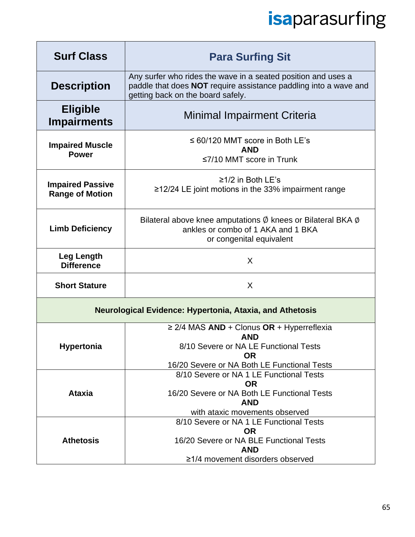| <b>Surf Class</b>                                               | <b>Para Surfing Sit</b>                                                                                                                                                                                      |  |
|-----------------------------------------------------------------|--------------------------------------------------------------------------------------------------------------------------------------------------------------------------------------------------------------|--|
| <b>Description</b>                                              | Any surfer who rides the wave in a seated position and uses a<br>paddle that does NOT require assistance paddling into a wave and<br>getting back on the board safely.                                       |  |
| <b>Eligible</b><br><b>Impairments</b>                           | Minimal Impairment Criteria                                                                                                                                                                                  |  |
| <b>Impaired Muscle</b><br><b>Power</b>                          | $\leq 60/120$ MMT score in Both LE's<br><b>AND</b><br>$\leq$ 7/10 MMT score in Trunk                                                                                                                         |  |
| <b>Impaired Passive</b><br><b>Range of Motion</b>               | ≥1/2 in Both LE's<br>≥12/24 LE joint motions in the 33% impairment range                                                                                                                                     |  |
| <b>Limb Deficiency</b>                                          | Bilateral above knee amputations $\emptyset$ knees or Bilateral BKA $\emptyset$<br>ankles or combo of 1 AKA and 1 BKA<br>or congenital equivalent                                                            |  |
| Leg Length<br><b>Difference</b>                                 | X                                                                                                                                                                                                            |  |
| <b>Short Stature</b>                                            | X                                                                                                                                                                                                            |  |
| <b>Neurological Evidence: Hypertonia, Ataxia, and Athetosis</b> |                                                                                                                                                                                                              |  |
| <b>Hypertonia</b>                                               | $\geq$ 2/4 MAS AND + Clonus OR + Hyperreflexia<br><b>AND</b><br>8/10 Severe or NA LE Functional Tests<br><b>OR</b><br>16/20 Severe or NA Both LE Functional Tests<br>8/10 Severe or NA 1 LE Functional Tests |  |
| <b>Ataxia</b>                                                   | <b>OR</b><br>16/20 Severe or NA Both LE Functional Tests<br><b>AND</b><br>with ataxic movements observed                                                                                                     |  |
| <b>Athetosis</b>                                                | 8/10 Severe or NA 1 LE Functional Tests<br><b>OR</b><br>16/20 Severe or NA BLE Functional Tests<br><b>AND</b><br>≥1/4 movement disorders observed                                                            |  |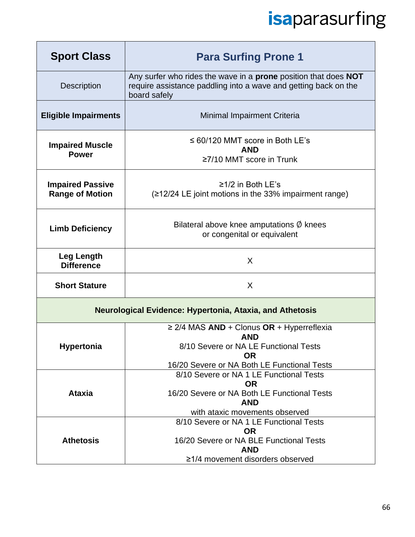| <b>Sport Class</b>                                              | <b>Para Surfing Prone 1</b>                                                                                                                                                                                  |  |
|-----------------------------------------------------------------|--------------------------------------------------------------------------------------------------------------------------------------------------------------------------------------------------------------|--|
| <b>Description</b>                                              | Any surfer who rides the wave in a <b>prone</b> position that does <b>NOT</b><br>require assistance paddling into a wave and getting back on the<br>board safely                                             |  |
| <b>Eligible Impairments</b>                                     | Minimal Impairment Criteria                                                                                                                                                                                  |  |
| <b>Impaired Muscle</b><br><b>Power</b>                          | $\leq 60/120$ MMT score in Both LE's<br><b>AND</b><br>$\geq$ 7/10 MMT score in Trunk                                                                                                                         |  |
| <b>Impaired Passive</b><br><b>Range of Motion</b>               | ≥1/2 in Both LE's<br>$(212/24$ LE joint motions in the 33% impairment range)                                                                                                                                 |  |
| <b>Limb Deficiency</b>                                          | Bilateral above knee amputations $\emptyset$ knees<br>or congenital or equivalent                                                                                                                            |  |
| <b>Leg Length</b><br><b>Difference</b>                          | X                                                                                                                                                                                                            |  |
| <b>Short Stature</b>                                            | X                                                                                                                                                                                                            |  |
| <b>Neurological Evidence: Hypertonia, Ataxia, and Athetosis</b> |                                                                                                                                                                                                              |  |
| <b>Hypertonia</b>                                               | $\geq$ 2/4 MAS AND + Clonus OR + Hyperreflexia<br><b>AND</b><br>8/10 Severe or NA LE Functional Tests<br><b>OR</b><br>16/20 Severe or NA Both LE Functional Tests<br>8/10 Severe or NA 1 LE Functional Tests |  |
| <b>Ataxia</b>                                                   | <b>OR</b><br>16/20 Severe or NA Both LE Functional Tests<br><b>AND</b><br>with ataxic movements observed                                                                                                     |  |
| <b>Athetosis</b>                                                | 8/10 Severe or NA 1 LE Functional Tests<br><b>OR</b><br>16/20 Severe or NA BLE Functional Tests<br><b>AND</b><br>≥1/4 movement disorders observed                                                            |  |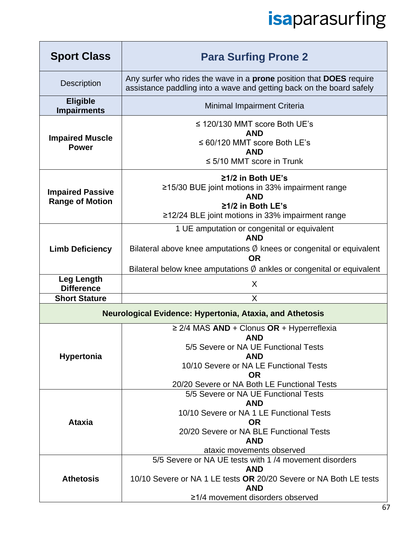| <b>Sport Class</b>                                              | <b>Para Surfing Prone 2</b>                                                                                                                                                                                                                 |  |
|-----------------------------------------------------------------|---------------------------------------------------------------------------------------------------------------------------------------------------------------------------------------------------------------------------------------------|--|
| <b>Description</b>                                              | Any surfer who rides the wave in a <b>prone</b> position that <b>DOES</b> require<br>assistance paddling into a wave and getting back on the board safely                                                                                   |  |
| <b>Eligible</b><br><b>Impairments</b>                           | Minimal Impairment Criteria                                                                                                                                                                                                                 |  |
| <b>Impaired Muscle</b><br><b>Power</b>                          | $\leq$ 120/130 MMT score Both UE's<br><b>AND</b><br>$\leq 60/120$ MMT score Both LE's<br><b>AND</b><br>$\leq$ 5/10 MMT score in Trunk                                                                                                       |  |
| <b>Impaired Passive</b><br><b>Range of Motion</b>               | ≥1/2 in Both UE's<br>≥15/30 BUE joint motions in 33% impairment range<br><b>AND</b><br>$\geq$ 1/2 in Both LE's<br>≥12/24 BLE joint motions in 33% impairment range                                                                          |  |
| <b>Limb Deficiency</b>                                          | 1 UE amputation or congenital or equivalent<br><b>AND</b><br>Bilateral above knee amputations $\emptyset$ knees or congenital or equivalent<br><b>OR</b><br>Bilateral below knee amputations $\emptyset$ ankles or congenital or equivalent |  |
| <b>Leg Length</b><br><b>Difference</b>                          | X                                                                                                                                                                                                                                           |  |
| <b>Short Stature</b>                                            | X                                                                                                                                                                                                                                           |  |
| <b>Neurological Evidence: Hypertonia, Ataxia, and Athetosis</b> |                                                                                                                                                                                                                                             |  |
| <b>Hypertonia</b>                                               | $\geq$ 2/4 MAS AND + Clonus OR + Hyperreflexia<br><b>AND</b><br>5/5 Severe or NA UE Functional Tests<br><b>AND</b><br>10/10 Severe or NA LE Functional Tests<br><b>OR</b><br>20/20 Severe or NA Both LE Functional Tests                    |  |
| <b>Ataxia</b>                                                   | 5/5 Severe or NA UE Functional Tests<br><b>AND</b><br>10/10 Severe or NA 1 LE Functional Tests<br><b>OR</b><br>20/20 Severe or NA BLE Functional Tests<br><b>AND</b><br>ataxic movements observed                                           |  |
| <b>Athetosis</b>                                                | 5/5 Severe or NA UE tests with 1/4 movement disorders<br><b>AND</b><br>10/10 Severe or NA 1 LE tests OR 20/20 Severe or NA Both LE tests<br><b>AND</b><br>≥1/4 movement disorders observed                                                  |  |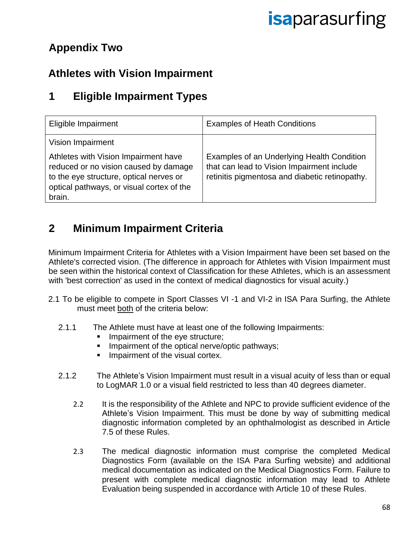### **Appendix Two**

### **Athletes with Vision Impairment**

### **1 Eligible Impairment Types**

| Eligible Impairment                                                                                                                                                                                  | <b>Examples of Heath Conditions</b>                                                                                                        |
|------------------------------------------------------------------------------------------------------------------------------------------------------------------------------------------------------|--------------------------------------------------------------------------------------------------------------------------------------------|
| Vision Impairment<br>Athletes with Vision Impairment have<br>reduced or no vision caused by damage<br>to the eye structure, optical nerves or<br>optical pathways, or visual cortex of the<br>brain. | Examples of an Underlying Health Condition<br>that can lead to Vision Impairment include<br>retinitis pigmentosa and diabetic retinopathy. |

### **2 Minimum Impairment Criteria**

Minimum Impairment Criteria for Athletes with a Vision Impairment have been set based on the Athlete's corrected vision. (The difference in approach for Athletes with Vision Impairment must be seen within the historical context of Classification for these Athletes, which is an assessment with 'best correction' as used in the context of medical diagnostics for visual acuity.)

- 2.1 To be eligible to compete in Sport Classes VI -1 and VI-2 in ISA Para Surfing, the Athlete must meet both of the criteria below:
	- 2.1.1 The Athlete must have at least one of the following Impairments:
		- Impairment of the eye structure;
		- Impairment of the optical nerve/optic pathways;
		- **■** Impairment of the visual cortex.
	- 2.1.2 The Athlete's Vision Impairment must result in a visual acuity of less than or equal to LogMAR 1.0 or a visual field restricted to less than 40 degrees diameter.
		- 2.2 It is the responsibility of the Athlete and NPC to provide sufficient evidence of the Athlete's Vision Impairment. This must be done by way of submitting medical diagnostic information completed by an ophthalmologist as described in Article 7.5 of these Rules.
		- 2.3 The medical diagnostic information must comprise the completed Medical Diagnostics Form (available on the ISA Para Surfing website) and additional medical documentation as indicated on the Medical Diagnostics Form. Failure to present with complete medical diagnostic information may lead to Athlete Evaluation being suspended in accordance with Article 10 of these Rules.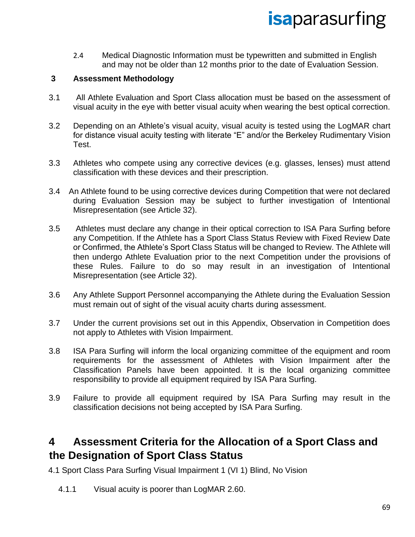2.4 Medical Diagnostic Information must be typewritten and submitted in English and may not be older than 12 months prior to the date of Evaluation Session.

#### **3 Assessment Methodology**

- 3.1 All Athlete Evaluation and Sport Class allocation must be based on the assessment of visual acuity in the eye with better visual acuity when wearing the best optical correction.
- 3.2 Depending on an Athlete's visual acuity, visual acuity is tested using the LogMAR chart for distance visual acuity testing with literate "E" and/or the Berkeley Rudimentary Vision Test.
- 3.3 Athletes who compete using any corrective devices (e.g. glasses, lenses) must attend classification with these devices and their prescription.
- 3.4 An Athlete found to be using corrective devices during Competition that were not declared during Evaluation Session may be subject to further investigation of Intentional Misrepresentation (see Article 32).
- 3.5 Athletes must declare any change in their optical correction to ISA Para Surfing before any Competition. If the Athlete has a Sport Class Status Review with Fixed Review Date or Confirmed, the Athlete's Sport Class Status will be changed to Review. The Athlete will then undergo Athlete Evaluation prior to the next Competition under the provisions of these Rules. Failure to do so may result in an investigation of Intentional Misrepresentation (see Article 32).
- 3.6 Any Athlete Support Personnel accompanying the Athlete during the Evaluation Session must remain out of sight of the visual acuity charts during assessment.
- 3.7 Under the current provisions set out in this Appendix, Observation in Competition does not apply to Athletes with Vision Impairment.
- 3.8 ISA Para Surfing will inform the local organizing committee of the equipment and room requirements for the assessment of Athletes with Vision Impairment after the Classification Panels have been appointed. It is the local organizing committee responsibility to provide all equipment required by ISA Para Surfing.
- 3.9 Failure to provide all equipment required by ISA Para Surfing may result in the classification decisions not being accepted by ISA Para Surfing.

#### **4 Assessment Criteria for the Allocation of a Sport Class and the Designation of Sport Class Status**

4.1 Sport Class Para Surfing Visual Impairment 1 (VI 1) Blind, No Vision

4.1.1 Visual acuity is poorer than LogMAR 2.60.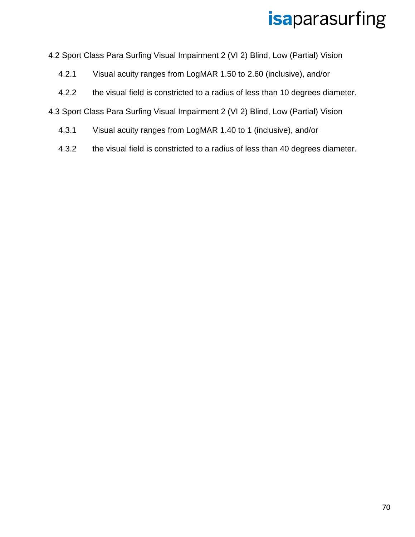4.2 Sport Class Para Surfing Visual Impairment 2 (VI 2) Blind, Low (Partial) Vision

- 4.2.1 Visual acuity ranges from LogMAR 1.50 to 2.60 (inclusive), and/or
- 4.2.2 the visual field is constricted to a radius of less than 10 degrees diameter.

4.3 Sport Class Para Surfing Visual Impairment 2 (VI 2) Blind, Low (Partial) Vision

- 4.3.1 Visual acuity ranges from LogMAR 1.40 to 1 (inclusive), and/or
- 4.3.2 the visual field is constricted to a radius of less than 40 degrees diameter.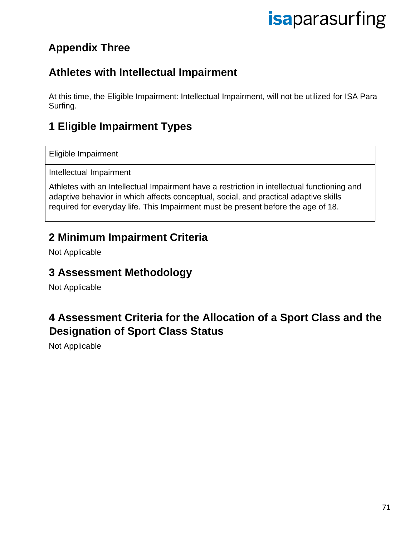### **Appendix Three**

### **Athletes with Intellectual Impairment**

At this time, the Eligible Impairment: Intellectual Impairment, will not be utilized for ISA Para Surfing.

### **1 Eligible Impairment Types**

Eligible Impairment

Intellectual Impairment

Athletes with an Intellectual Impairment have a restriction in intellectual functioning and adaptive behavior in which affects conceptual, social, and practical adaptive skills required for everyday life. This Impairment must be present before the age of 18.

### **2 Minimum Impairment Criteria**

Not Applicable

#### **3 Assessment Methodology**

Not Applicable

### **4 Assessment Criteria for the Allocation of a Sport Class and the Designation of Sport Class Status**

Not Applicable